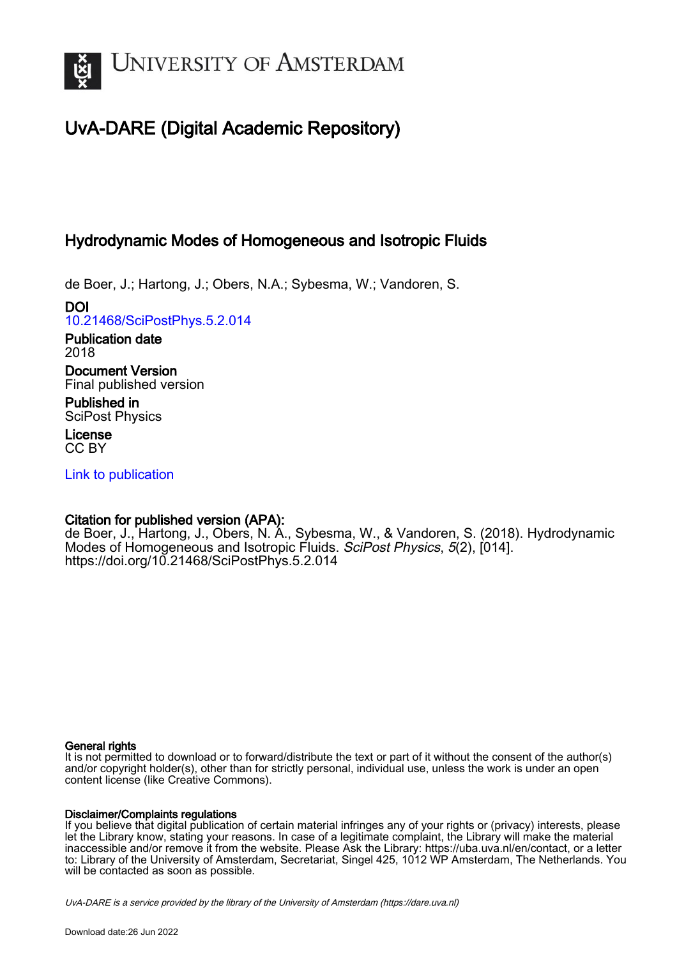

# UvA-DARE (Digital Academic Repository)

# Hydrodynamic Modes of Homogeneous and Isotropic Fluids

de Boer, J.; Hartong, J.; Obers, N.A.; Sybesma, W.; Vandoren, S.

DOI [10.21468/SciPostPhys.5.2.014](https://doi.org/10.21468/SciPostPhys.5.2.014)

Publication date 2018

Document Version Final published version

Published in SciPost Physics

License CC BY

[Link to publication](https://dare.uva.nl/personal/pure/en/publications/hydrodynamic-modes-of-homogeneous-and-isotropic-fluids(fa7b31f3-016c-44d0-9aca-ec818d546848).html)

# Citation for published version (APA):

de Boer, J., Hartong, J., Obers, N. A., Sybesma, W., & Vandoren, S. (2018). Hydrodynamic Modes of Homogeneous and Isotropic Fluids. SciPost Physics, 5(2), [014]. <https://doi.org/10.21468/SciPostPhys.5.2.014>

### General rights

It is not permitted to download or to forward/distribute the text or part of it without the consent of the author(s) and/or copyright holder(s), other than for strictly personal, individual use, unless the work is under an open content license (like Creative Commons).

### Disclaimer/Complaints regulations

If you believe that digital publication of certain material infringes any of your rights or (privacy) interests, please let the Library know, stating your reasons. In case of a legitimate complaint, the Library will make the material inaccessible and/or remove it from the website. Please Ask the Library: https://uba.uva.nl/en/contact, or a letter to: Library of the University of Amsterdam, Secretariat, Singel 425, 1012 WP Amsterdam, The Netherlands. You will be contacted as soon as possible.

UvA-DARE is a service provided by the library of the University of Amsterdam (http*s*://dare.uva.nl)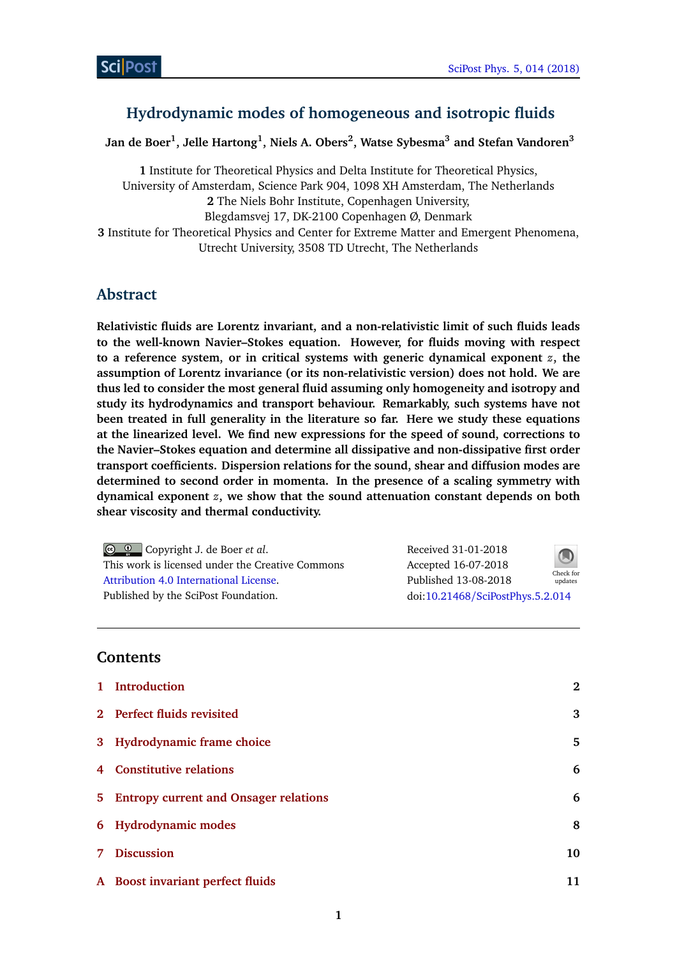# **Hydrodynamic modes of homogeneous and isotropic fluids**

**Jan de Boer<sup>1</sup> , Jelle Hartong<sup>1</sup> , Niels A. Obers<sup>2</sup> , Watse Sybesma<sup>3</sup> and Stefan Vandoren<sup>3</sup>**

**1** Institute for Theoretical Physics and Delta Institute for Theoretical Physics, University of Amsterdam, Science Park 904, 1098 XH Amsterdam, The Netherlands **2** The Niels Bohr Institute, Copenhagen University, Blegdamsvej 17, DK-2100 Copenhagen Ø, Denmark **3** Institute for Theoretical Physics and Center for Extreme Matter and Emergent Phenomena, Utrecht University, 3508 TD Utrecht, The Netherlands

# **Abstract**

**Relativistic fluids are Lorentz invariant, and a non-relativistic limit of such fluids leads to the well-known Navier–Stokes equation. However, for fluids moving with respect to a reference system, or in critical systems with generic dynamical exponent** *z***, the assumption of Lorentz invariance (or its non-relativistic version) does not hold. We are thus led to consider the most general fluid assuming only homogeneity and isotropy and study its hydrodynamics and transport behaviour. Remarkably, such systems have not been treated in full generality in the literature so far. Here we study these equations at the linearized level. We find new expressions for the speed of sound, corrections to the Navier–Stokes equation and determine all dissipative and non-dissipative first order transport coefficients. Dispersion relations for the sound, shear and diffusion modes are determined to second order in momenta. In the presence of a scaling symmetry with dynamical exponent** *z***, we show that the sound attenuation constant depends on both shear viscosity and thermal conductivity.**

| © © Copyright J. de Boer <i>et al.</i>           | Received 31-01-2018              | $\bigcirc$ |
|--------------------------------------------------|----------------------------------|------------|
| This work is licensed under the Creative Commons | Accepted 16-07-2018              | Check for  |
| Attribution 4.0 International License.           | Published 13-08-2018             | updates    |
| Published by the SciPost Foundation.             | doi:10.21468/SciPostPhys.5.2.014 |            |

# **Contents**

|    | 1 Introduction                          | $\mathbf{2}$ |
|----|-----------------------------------------|--------------|
|    | 2 Perfect fluids revisited              | 3            |
|    | 3 Hydrodynamic frame choice             | 5.           |
|    | 4 Constitutive relations                | 6            |
|    | 5 Entropy current and Onsager relations | 6            |
|    | 6 Hydrodynamic modes                    | 8            |
| 7. | <b>Discussion</b>                       | 10           |
|    | A Boost invariant perfect fluids        | 11           |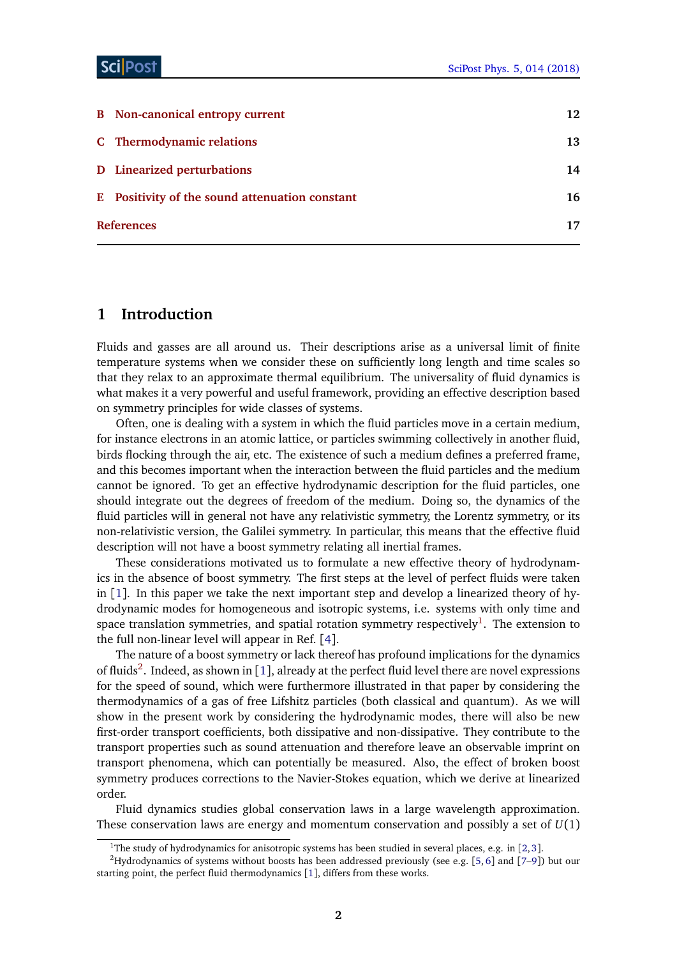| C Thermodynamic relations<br>D Linearized perturbations<br>E Positivity of the sound attenuation constant<br><b>References</b> | <b>B</b> Non-canonical entropy current | 12 |
|--------------------------------------------------------------------------------------------------------------------------------|----------------------------------------|----|
|                                                                                                                                |                                        | 13 |
|                                                                                                                                |                                        | 14 |
|                                                                                                                                |                                        | 16 |
|                                                                                                                                |                                        | 17 |

# <span id="page-2-0"></span>**1 Introduction**

Fluids and gasses are all around us. Their descriptions arise as a universal limit of finite temperature systems when we consider these on sufficiently long length and time scales so that they relax to an approximate thermal equilibrium. The universality of fluid dynamics is what makes it a very powerful and useful framework, providing an effective description based on symmetry principles for wide classes of systems.

Often, one is dealing with a system in which the fluid particles move in a certain medium, for instance electrons in an atomic lattice, or particles swimming collectively in another fluid, birds flocking through the air, etc. The existence of such a medium defines a preferred frame, and this becomes important when the interaction between the fluid particles and the medium cannot be ignored. To get an effective hydrodynamic description for the fluid particles, one should integrate out the degrees of freedom of the medium. Doing so, the dynamics of the fluid particles will in general not have any relativistic symmetry, the Lorentz symmetry, or its non-relativistic version, the Galilei symmetry. In particular, this means that the effective fluid description will not have a boost symmetry relating all inertial frames.

These considerations motivated us to formulate a new effective theory of hydrodynamics in the absence of boost symmetry. The first steps at the level of perfect fluids were taken in  $[1]$  $[1]$  $[1]$ . In this paper we take the next important step and develop a linearized theory of hydrodynamic modes for homogeneous and isotropic systems, i.e. systems with only time and space translation symmetries, and spatial rotation symmetry respectively $^1.$  $^1.$  $^1.$  The extension to the full non-linear level will appear in Ref. [[4](#page-17-2)].

The nature of a boost symmetry or lack thereof has profound implications for the dynamics of fluids<sup>[2](#page-2-2)</sup>. Indeed, as shown in [[1](#page-17-1)], already at the perfect fluid level there are novel expressions for the speed of sound, which were furthermore illustrated in that paper by considering the thermodynamics of a gas of free Lifshitz particles (both classical and quantum). As we will show in the present work by considering the hydrodynamic modes, there will also be new first-order transport coefficients, both dissipative and non-dissipative. They contribute to the transport properties such as sound attenuation and therefore leave an observable imprint on transport phenomena, which can potentially be measured. Also, the effect of broken boost symmetry produces corrections to the Navier-Stokes equation, which we derive at linearized order.

Fluid dynamics studies global conservation laws in a large wavelength approximation. These conservation laws are energy and momentum conservation and possibly a set of *U*(1)

<span id="page-2-2"></span><span id="page-2-1"></span><sup>&</sup>lt;sup>1</sup>The study of hydrodynamics for anisotropic systems has been studied in several places, e.g. in [[2,](#page-17-3)[3](#page-17-4)].

<sup>2</sup>Hydrodynamics of systems without boosts has been addressed previously (see e.g. [[5,](#page-17-5) [6](#page-17-6)] and [[7–](#page-17-7)[9](#page-17-8)]) but our starting point, the perfect fluid thermodynamics [[1](#page-17-1)], differs from these works.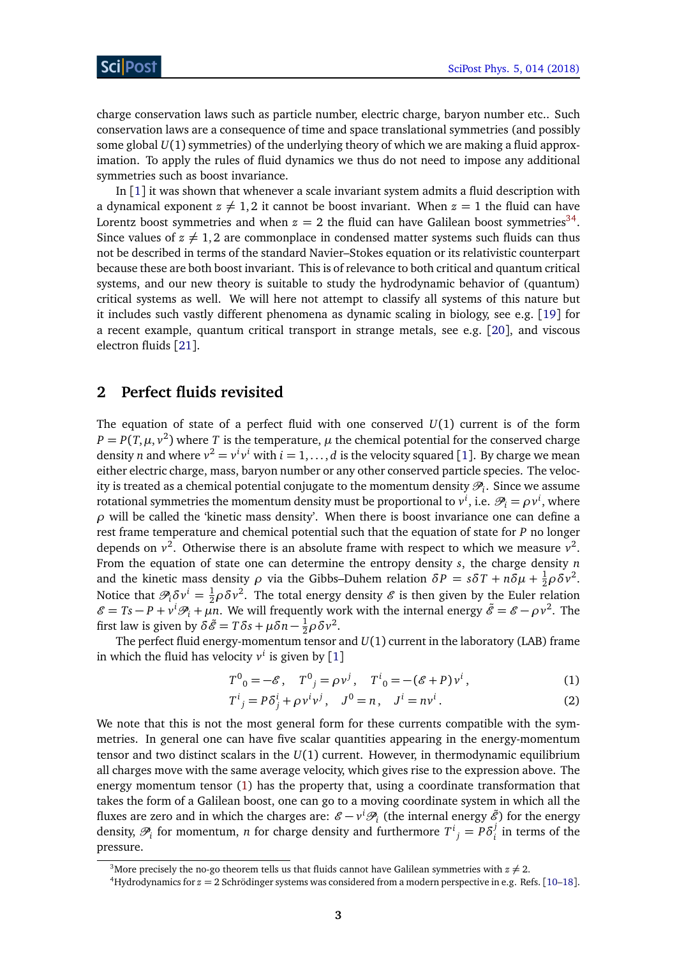charge conservation laws such as particle number, electric charge, baryon number etc.. Such conservation laws are a consequence of time and space translational symmetries (and possibly some global *U*(1) symmetries) of the underlying theory of which we are making a fluid approximation. To apply the rules of fluid dynamics we thus do not need to impose any additional symmetries such as boost invariance.

In  $\lceil 1 \rceil$  $\lceil 1 \rceil$  $\lceil 1 \rceil$  it was shown that whenever a scale invariant system admits a fluid description with a dynamical exponent  $z \neq 1, 2$  it cannot be boost invariant. When  $z = 1$  the fluid can have Lorentz boost symmetries and when  $z = 2$  the fluid can have Galilean boost symmetries<sup>[3](#page-3-1)[4](#page-3-2)</sup>. Since values of  $z \neq 1, 2$  are commonplace in condensed matter systems such fluids can thus not be described in terms of the standard Navier–Stokes equation or its relativistic counterpart because these are both boost invariant. This is of relevance to both critical and quantum critical systems, and our new theory is suitable to study the hydrodynamic behavior of (quantum) critical systems as well. We will here not attempt to classify all systems of this nature but it includes such vastly different phenomena as dynamic scaling in biology, see e.g. [[19](#page-18-0)] for a recent example, quantum critical transport in strange metals, see e.g. [[20](#page-18-1)], and viscous electron fluids [[21](#page-18-2)].

# <span id="page-3-0"></span>**2 Perfect fluids revisited**

The equation of state of a perfect fluid with one conserved *U*(1) current is of the form  $P = P(T, \mu, v^2)$  where *T* is the temperature,  $\mu$  the chemical potential for the conserved charge density *n* and where  $v^2 = v^i v^i$  with  $i = 1, ..., d$  $i = 1, ..., d$  $i = 1, ..., d$  is the velocity squared [1]. By charge we mean either electric charge, mass, baryon number or any other conserved particle species. The velocity is treated as a chemical potential conjugate to the momentum density  $\mathscr{P}_i.$  Since we assume rotational symmetries the momentum density must be proportional to  $v^i$ , i.e.  $\mathscr{P}_i = \rho v^i$ , where  $\rho$  will be called the 'kinetic mass density'. When there is boost invariance one can define a rest frame temperature and chemical potential such that the equation of state for *P* no longer depends on  $v^2$ . Otherwise there is an absolute frame with respect to which we measure  $v^2$ . From the equation of state one can determine the entropy density *s*, the charge density *n* and the kinetic mass density  $\rho$  via the Gibbs–Duhem relation  $\delta P = s \delta T + n \delta \mu + \frac{1}{2} \rho \delta \nu^2$ . Notice that  $\mathcal{P}_i \delta v^i = \frac{1}{2} \rho \delta v^2$ . The total energy density  $\mathcal E$  is then given by the Euler relation  $\mathscr{E} = Ts - P + v^i \mathscr{P}_i + \mu n$ . We will frequently work with the internal energy  $\tilde{\mathscr{E}} = \mathscr{E} - \rho v^2$ . The first law is given by  $\delta \tilde{\mathscr{E}} = T \delta s + \mu \delta n - \frac{1}{2} \rho \delta v^2$ .

The perfect fluid energy-momentum tensor and *U*(1) current in the laboratory (LAB) frame in which the fluid has velocity  $v^i$  is given by  $[1]$  $[1]$  $[1]$ 

<span id="page-3-3"></span>
$$
T^{0}_{0} = -\mathcal{E}, \quad T^{0}_{j} = \rho v^{j}, \quad T^{i}_{0} = -(\mathcal{E} + P)v^{i}, \tag{1}
$$

$$
T^{i}{}_{j} = P\delta^{i}{}_{j} + \rho v^{i} v^{j}, \quad J^{0} = n, \quad J^{i} = n v^{i}. \tag{2}
$$

We note that this is not the most general form for these currents compatible with the symmetries. In general one can have five scalar quantities appearing in the energy-momentum tensor and two distinct scalars in the *U*(1) current. However, in thermodynamic equilibrium all charges move with the same average velocity, which gives rise to the expression above. The energy momentum tensor [\(1\)](#page-3-3) has the property that, using a coordinate transformation that takes the form of a Galilean boost, one can go to a moving coordinate system in which all the fluxes are zero and in which the charges are:  $\mathscr{E}-v^i\mathscr{P}_i$  (the internal energy  $\tilde{\mathscr{E}}$ ) for the energy density,  $\mathcal{P}_i$  for momentum, *n* for charge density and furthermore  $T^i{}_j = P \delta^j_i$  $i$ <sup> $j$ </sup> in terms of the pressure.

<span id="page-3-1"></span><sup>&</sup>lt;sup>3</sup>More precisely the no-go theorem tells us that fluids cannot have Galilean symmetries with  $z \neq 2$ .

<span id="page-3-2"></span><sup>4</sup>Hydrodynamics for *z* = 2 Schrödinger systems was considered from a modern perspective in e.g. Refs. [[10](#page-17-9)[–18](#page-18-3)].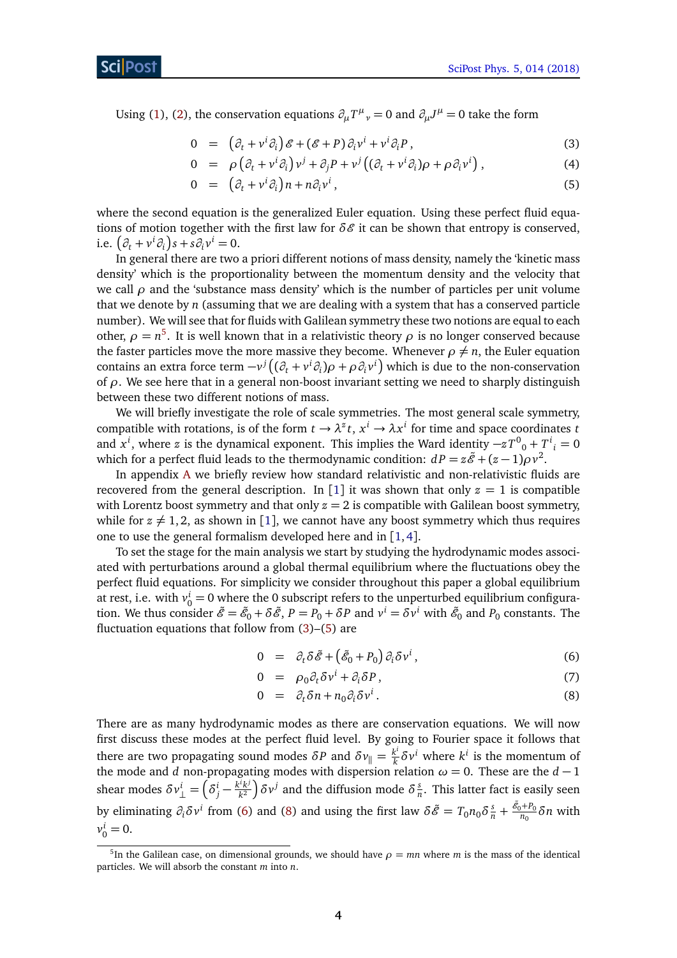Using [\(1\)](#page-3-3), [\(2\)](#page-3-3), the conservation equations  $\partial_{\mu}T^{\mu}{}_{\nu} = 0$  and  $\partial_{\mu}J^{\mu} = 0$  take the form

<span id="page-4-1"></span>
$$
0 = (\partial_t + v^i \partial_i) \mathcal{E} + (\mathcal{E} + P) \partial_i v^i + v^i \partial_i P,
$$
\n(3)

$$
0 = \rho \left( \partial_t + v^i \partial_i \right) v^j + \partial_j P + v^j \left( (\partial_t + v^i \partial_i) \rho + \rho \partial_i v^i \right), \tag{4}
$$

$$
0 = (\partial_t + v^i \partial_i) n + n \partial_i v^i, \qquad (5)
$$

where the second equation is the generalized Euler equation. Using these perfect fluid equations of motion together with the first law for  $\delta \mathcal{E}$  it can be shown that entropy is conserved, i.e.  $(\partial_t + v^i \partial_i)s + s \partial_i v^i = 0.$ 

In general there are two a priori different notions of mass density, namely the 'kinetic mass density' which is the proportionality between the momentum density and the velocity that we call  $\rho$  and the 'substance mass density' which is the number of particles per unit volume that we denote by *n* (assuming that we are dealing with a system that has a conserved particle number). We will see that for fluids with Galilean symmetry these two notions are equal to each other,  $\rho = n^5$  $\rho = n^5$ . It is well known that in a relativistic theory  $\rho$  is no longer conserved because the faster particles move the more massive they become. Whenever  $\rho \neq n$ , the Euler equation contains an extra force term  $-v^j((\partial_t + v^i \partial_i)\rho + \rho \partial_i v^i)$  which is due to the non-conservation of *ρ*. We see here that in a general non-boost invariant setting we need to sharply distinguish between these two different notions of mass.

We will briefly investigate the role of scale symmetries. The most general scale symmetry, compatible with rotations, is of the form  $t \to \lambda^z t$ ,  $x^i \to \lambda x^i$  for time and space coordinates *t* and  $x^i$ , where *z* is the dynamical exponent. This implies the Ward identity  $-zT^0{}_0 + T^i{}_i = 0$ which for a perfect fluid leads to the thermodynamic condition:  $dP = z\tilde{\mathscr{E}} + (z-1)\rho v^2$ .

In appendix [A](#page-11-0) we briefly review how standard relativistic and non-relativistic fluids are recovered from the general description. In [[1](#page-17-1)] it was shown that only  $z = 1$  is compatible with Lorentz boost symmetry and that only  $z = 2$  is compatible with Galilean boost symmetry, while for  $z \neq 1, 2$  $z \neq 1, 2$  $z \neq 1, 2$ , as shown in [1], we cannot have any boost symmetry which thus requires one to use the general formalism developed here and in [[1,](#page-17-1)[4](#page-17-2)].

To set the stage for the main analysis we start by studying the hydrodynamic modes associated with perturbations around a global thermal equilibrium where the fluctuations obey the perfect fluid equations. For simplicity we consider throughout this paper a global equilibrium at rest, i.e. with  $v_0^i = 0$  where the 0 subscript refers to the unperturbed equilibrium configuration. We thus consider  $\tilde{\mathscr{E}} = \tilde{\mathscr{E}}_0 + \delta \tilde{\mathscr{E}}, P = P_0 + \delta P$  and  $v^i = \delta v^i$  with  $\tilde{\mathscr{E}}_0$  and  $P_0$  constants. The fluctuation equations that follow from [\(3\)](#page-4-1)–[\(5\)](#page-4-1) are

<span id="page-4-2"></span>
$$
0 = \partial_t \delta \tilde{\mathscr{E}} + \left( \tilde{\mathscr{E}}_0 + P_0 \right) \partial_i \delta v^i, \tag{6}
$$

$$
0 = \rho_0 \partial_t \delta v^i + \partial_i \delta P, \tag{7}
$$

$$
0 = \partial_t \delta n + n_0 \partial_i \delta v^i. \tag{8}
$$

There are as many hydrodynamic modes as there are conservation equations. We will now first discuss these modes at the perfect fluid level. By going to Fourier space it follows that there are two propagating sound modes  $\delta P$  and  $\delta v_{\parallel} = \frac{k^i}{k}$  $\frac{k^i}{k}$ δ*ν*<sup>*i*</sup> where *k*<sup>*i*</sup> is the momentum of the mode and *d* non-propagating modes with dispersion relation  $\omega = 0$ . These are the *d* − 1 shear modes  $\delta v^i_\perp = \left(\delta^i_j - \frac{k^i k^j}{k^2}\right)$  $\left(\frac{k^i k^j}{k^2}\right)$ δ $\nu^j$  and the diffusion mode δ $\frac{s}{n}$  $\frac{s}{n}$ . This latter fact is easily seen by eliminating  $\partial_i \delta v^i$  from [\(6\)](#page-4-2) and [\(8\)](#page-4-2) and using the first law  $\delta \tilde{\mathscr{E}} = T_0 n_0 \delta \frac{s}{n} + \frac{\tilde{\mathscr{E}}_0 + P_0}{n_0}$  $\frac{D(Tr_0)}{n_0}$ δ*n* with  $v_0^i = 0.$ 

<span id="page-4-0"></span><sup>&</sup>lt;sup>5</sup>In the Galilean case, on dimensional grounds, we should have  $\rho = mn$  where *m* is the mass of the identical particles. We will absorb the constant *m* into *n*.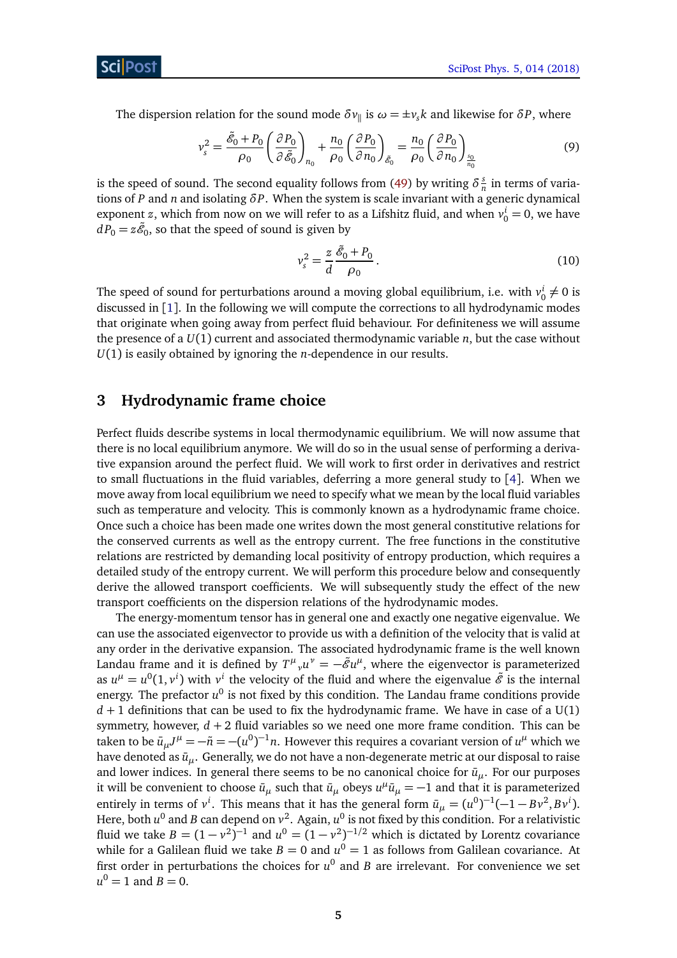The dispersion relation for the sound mode  $\delta v_{\parallel}$  is  $\omega = \pm v_s k$  and likewise for  $\delta P$ , where

$$
v_s^2 = \frac{\tilde{\mathcal{E}}_0 + P_0}{\rho_0} \left( \frac{\partial P_0}{\partial \tilde{\mathcal{E}}_0} \right)_{n_0} + \frac{n_0}{\rho_0} \left( \frac{\partial P_0}{\partial n_0} \right)_{\tilde{\mathcal{E}}_0} = \frac{n_0}{\rho_0} \left( \frac{\partial P_0}{\partial n_0} \right)_{\frac{s_0}{n_0}}
$$
(9)

is the speed of sound. The second equality follows from [\(49\)](#page-13-1) by writing  $\delta^s$  $\frac{s}{n}$  in terms of variations of *P* and *n* and isolating *δP*. When the system is scale invariant with a generic dynamical exponent *z*, which from now on we will refer to as a Lifshitz fluid, and when  $v_0^i = 0$ , we have  $dP_0 = z\tilde{\mathscr{E}}_0$ , so that the speed of sound is given by

<span id="page-5-2"></span><span id="page-5-1"></span>
$$
v_s^2 = \frac{z}{d} \frac{\tilde{\mathcal{E}}_0 + P_0}{\rho_0} \,. \tag{10}
$$

The speed of sound for perturbations around a moving global equilibrium, i.e. with  $v_0^i \neq 0$  is discussed in [[1](#page-17-1)]. In the following we will compute the corrections to all hydrodynamic modes that originate when going away from perfect fluid behaviour. For definiteness we will assume the presence of a  $U(1)$  current and associated thermodynamic variable  $n$ , but the case without *U*(1) is easily obtained by ignoring the *n*-dependence in our results.

# <span id="page-5-0"></span>**3 Hydrodynamic frame choice**

Perfect fluids describe systems in local thermodynamic equilibrium. We will now assume that there is no local equilibrium anymore. We will do so in the usual sense of performing a derivative expansion around the perfect fluid. We will work to first order in derivatives and restrict to small fluctuations in the fluid variables, deferring a more general study to [[4](#page-17-2)]. When we move away from local equilibrium we need to specify what we mean by the local fluid variables such as temperature and velocity. This is commonly known as a hydrodynamic frame choice. Once such a choice has been made one writes down the most general constitutive relations for the conserved currents as well as the entropy current. The free functions in the constitutive relations are restricted by demanding local positivity of entropy production, which requires a detailed study of the entropy current. We will perform this procedure below and consequently derive the allowed transport coefficients. We will subsequently study the effect of the new transport coefficients on the dispersion relations of the hydrodynamic modes.

The energy-momentum tensor has in general one and exactly one negative eigenvalue. We can use the associated eigenvector to provide us with a definition of the velocity that is valid at any order in the derivative expansion. The associated hydrodynamic frame is the well known Landau frame and it is defined by  $T^{\mu}{}_{\nu}u^{\nu}=-\tilde{\mathscr{E}}u^{\mu},$  where the eigenvector is parameterized as  $u^{\mu} = u^0(1, v^i)$  with  $v^i$  the velocity of the fluid and where the eigenvalue  $\tilde{\mathscr{E}}$  is the internal energy. The prefactor  $u^0$  is not fixed by this condition. The Landau frame conditions provide  $d + 1$  definitions that can be used to fix the hydrodynamic frame. We have in case of a  $U(1)$ symmetry, however,  $d + 2$  fluid variables so we need one more frame condition. This can be taken to be  $\bar{u}_{\mu}J^{\mu} = -\tilde{n} = -(u^0)^{-1}n$ . However this requires a covariant version of  $u^{\mu}$  which we have denoted as  $\bar{u}_{\mu}$ . Generally, we do not have a non-degenerate metric at our disposal to raise and lower indices. In general there seems to be no canonical choice for  $\bar{u}_{\mu}$ . For our purposes it will be convenient to choose  $\bar{u}_{\mu}$  such that  $\bar{u}_{\mu}$  obeys  $u^{\mu}\bar{u}_{\mu} = -1$  and that it is parameterized entirely in terms of  $v^i$ . This means that it has the general form  $\bar{u}_{\mu} = (u^0)^{-1}(-1 - Bv^2, Bv^i)$ . Here, both  $u^0$  and  $B$  can depend on  $v^2$ . Again,  $u^0$  is not fixed by this condition. For a relativistic fluid we take  $B = (1 - v^2)^{-1}$  and  $u^0 = (1 - v^2)^{-1/2}$  which is dictated by Lorentz covariance while for a Galilean fluid we take  $B=0$  and  $u^0=1$  as follows from Galilean covariance. At first order in perturbations the choices for *u* 0 and *B* are irrelevant. For convenience we set  $u^0 = 1$  and  $B = 0$ .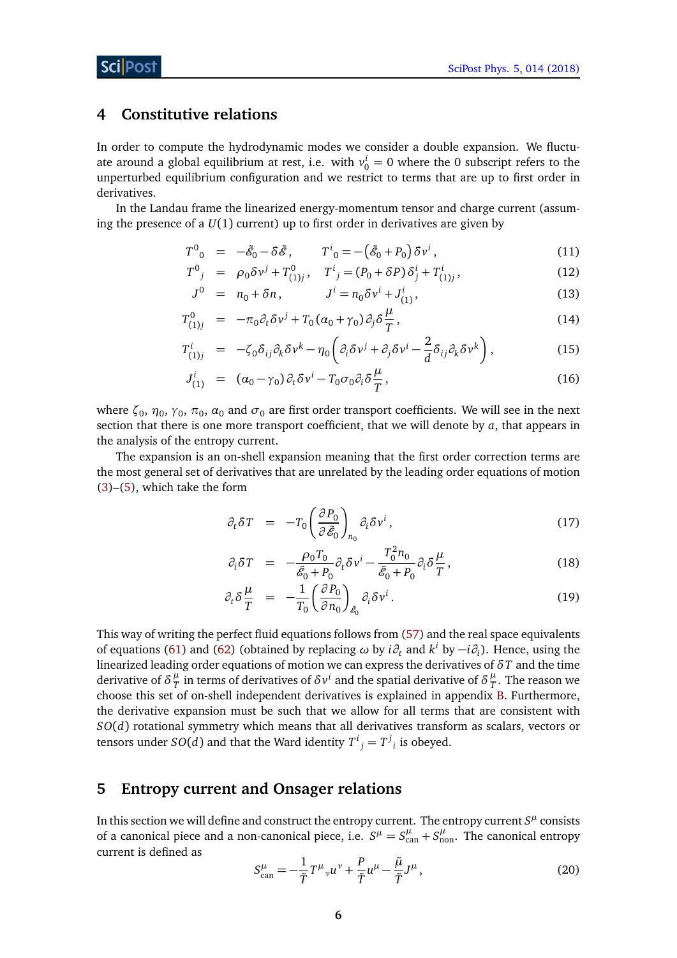# <span id="page-6-0"></span>**4 Constitutive relations**

In order to compute the hydrodynamic modes we consider a double expansion. We fluctuate around a global equilibrium at rest, i.e. with  $v_0^i = 0$  where the 0 subscript refers to the unperturbed equilibrium configuration and we restrict to terms that are up to first order in derivatives.

In the Landau frame the linearized energy-momentum tensor and charge current (assuming the presence of a  $U(1)$  current) up to first order in derivatives are given by

<span id="page-6-2"></span>
$$
T^{0}{}_{0} = -\tilde{\mathscr{E}}_{0} - \delta \tilde{\mathscr{E}}, \qquad T^{i}{}_{0} = -(\tilde{\mathscr{E}}_{0} + P_{0}) \delta v^{i}, \qquad (11)
$$

$$
T^{0}{}_{j} = \rho_{0} \delta v^{j} + T^{0}_{(1)j}, \quad T^{i}{}_{j} = (P_{0} + \delta P) \delta^{i}_{j} + T^{i}_{(1)j}, \tag{12}
$$

$$
J^{0} = n_{0} + \delta n, \qquad J^{i} = n_{0} \delta v^{i} + J_{(1)}^{i}, \qquad (13)
$$

$$
T_{(1)j}^0 = -\pi_0 \partial_t \delta v^j + T_0 (\alpha_0 + \gamma_0) \partial_j \delta \frac{\mu}{T}, \qquad (14)
$$

$$
T_{(1)j}^i = -\zeta_0 \delta_{ij} \partial_k \delta v^k - \eta_0 \left( \partial_i \delta v^j + \partial_j \delta v^i - \frac{2}{d} \delta_{ij} \partial_k \delta v^k \right), \tag{15}
$$

$$
J_{(1)}^i = (\alpha_0 - \gamma_0) \partial_t \delta v^i - T_0 \sigma_0 \partial_i \delta \frac{\mu}{T}, \qquad (16)
$$

where  $\zeta_0$ ,  $\eta_0$ ,  $\gamma_0$ ,  $\pi_0$ ,  $\alpha_0$  and  $\sigma_0$  are first order transport coefficients. We will see in the next section that there is one more transport coefficient, that we will denote by *a*, that appears in the analysis of the entropy current.

The expansion is an on-shell expansion meaning that the first order correction terms are the most general set of derivatives that are unrelated by the leading order equations of motion [\(3\)](#page-4-1)–[\(5\)](#page-4-1), which take the form

<span id="page-6-3"></span>
$$
\partial_t \delta T = -T_0 \left( \frac{\partial P_0}{\partial \tilde{\mathscr{E}}_0} \right)_{n_0} \partial_i \delta v^i, \qquad (17)
$$

$$
\partial_i \delta T = -\frac{\rho_0 T_0}{\tilde{\mathcal{E}}_0 + P_0} \partial_t \delta v^i - \frac{T_0^2 n_0}{\tilde{\mathcal{E}}_0 + P_0} \partial_i \delta \frac{\mu}{T}, \qquad (18)
$$

$$
\partial_t \delta \frac{\mu}{T} = -\frac{1}{T_0} \left( \frac{\partial P_0}{\partial n_0} \right)_{\tilde{\mathcal{E}}_0} \partial_i \delta v^i.
$$
\n(19)

This way of writing the perfect fluid equations follows from [\(57\)](#page-14-1) and the real space equivalents of equations [\(61\)](#page-14-2) and [\(62\)](#page-15-0) (obtained by replacing  $\omega$  by  $i\partial_t$  and  $k^i$  by  $-i\partial_i$ ). Hence, using the linearized leading order equations of motion we can express the derivatives of *δT* and the time derivative of  $\delta \frac{\mu}{T}$  $\frac{\mu}{T}$  in terms of derivatives of  $\delta v^i$  and the spatial derivative of  $\delta \frac{\mu}{T}$  $\frac{\mu}{T}$ . The reason we choose this set of on-shell independent derivatives is explained in appendix [B.](#page-12-0) Furthermore, the derivative expansion must be such that we allow for all terms that are consistent with *SO*(*d*) rotational symmetry which means that all derivatives transform as scalars, vectors or tensors under  $SO(d)$  and that the Ward identity  $T^i_{\;\;j}=T^j_{\;\;i}$  is obeyed.

## <span id="page-6-1"></span>**5 Entropy current and Onsager relations**

In this section we will define and construct the entropy current. The entropy current  $S^{\mu}$  consists of a canonical piece and a non-canonical piece, i.e.  $S^{\mu} = S^{\mu}_{\text{can}} + S^{\mu}_{\text{non}}$ . The canonical entropy current is defined as

$$
S_{\text{can}}^{\mu} = -\frac{1}{\tilde{T}} T^{\mu}{}_{\nu} u^{\nu} + \frac{P}{\tilde{T}} u^{\mu} - \frac{\tilde{\mu}}{\tilde{T}} J^{\mu},\tag{20}
$$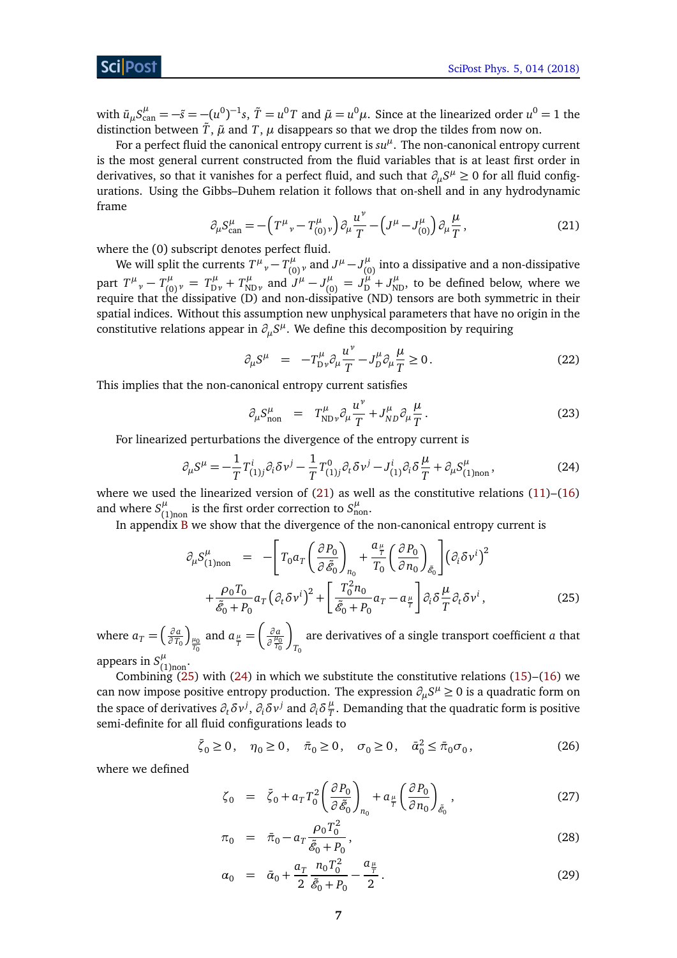### Sci Post

with  $\bar{u}_{\mu}S^{\mu}_{\text{can}} = -\tilde{s} = -(u^0)^{-1}s$ ,  $\tilde{T} = u^0T$  and  $\tilde{\mu} = u^0\mu$ . Since at the linearized order  $u^0 = 1$  the distinction between  $\tilde{T}$ ,  $\tilde{\mu}$  and  $T$ ,  $\mu$  disappears so that we drop the tildes from now on.

For a perfect fluid the canonical entropy current is  $su<sup>\mu</sup>$ . The non-canonical entropy current is the most general current constructed from the fluid variables that is at least first order in derivatives, so that it vanishes for a perfect fluid, and such that  $\partial_\mu S^\mu \geq 0$  for all fluid configurations. Using the Gibbs–Duhem relation it follows that on-shell and in any hydrodynamic frame

$$
\partial_{\mu} S_{\text{can}}^{\mu} = -\left(T^{\mu}{}_{\nu} - T_{(0)}^{\mu}{}_{\nu}\right) \partial_{\mu} \frac{u^{\nu}}{T} - \left(J^{\mu} - J_{(0)}^{\mu}\right) \partial_{\mu} \frac{\mu}{T},\tag{21}
$$

<span id="page-7-0"></span>where the (0) subscript denotes perfect fluid.

We will split the currents  $T^{\mu\nu}_{\ \nu} - T^{\mu}_{(0)\nu}$  and  $J^{\mu} - J^{\mu}_{(0)\nu}$  $\begin{bmatrix} \mu \\ (0) \end{bmatrix}$  into a dissipative and a non-dissipative part  $T^{\mu}{}_{\nu} - T^{\mu}_{(0)}{}_{\nu} = T^{\mu}_{D\nu} + T^{\mu}_{N}$  $J^{\mu}$ <sub>ND*v*</sub> and  $J^{\mu} - J^{\mu}_{(0)}$  $J_{D}^{\mu} = J_{D}^{\mu} + J_{ND}^{\mu}$ , to be defined below, where we require that the dissipative (D) and non-dissipative (ND) tensors are both symmetric in their spatial indices. Without this assumption new unphysical parameters that have no origin in the constitutive relations appear in  $\partial_\mu S^\mu$ . We define this decomposition by requiring

<span id="page-7-4"></span>
$$
\partial_{\mu} S^{\mu} = -T_{\text{D}\nu}^{\mu} \partial_{\mu} \frac{u^{\nu}}{T} - J_{D}^{\mu} \partial_{\mu} \frac{\mu}{T} \ge 0. \tag{22}
$$

This implies that the non-canonical entropy current satisfies

<span id="page-7-5"></span><span id="page-7-2"></span>
$$
\partial_{\mu} S^{\mu}_{\text{non}} = T^{\mu}_{\text{ND}\nu} \partial_{\mu} \frac{u^{\nu}}{T} + J^{\mu}_{ND} \partial_{\mu} \frac{\mu}{T}.
$$
 (23)

For linearized perturbations the divergence of the entropy current is

$$
\partial_{\mu}S^{\mu} = -\frac{1}{T}T^{i}_{(1)j}\partial_{i}\delta v^{j} - \frac{1}{T}T^{0}_{(1)j}\partial_{t}\delta v^{j} - J^{i}_{(1)}\partial_{i}\delta \frac{\mu}{T} + \partial_{\mu}S^{u}_{(1)non},
$$
\n(24)

where we used the linearized version of  $(21)$  as well as the constitutive relations  $(11)$ – $(16)$ and where  $S^{\mu}_{\alpha}$  $\mu$ <sub>(1)non</sub> is the first order correction to  $S_{\text{non}}^{\mu}$ .

In appendix [B](#page-12-0) we show that the divergence of the non-canonical entropy current is

<span id="page-7-1"></span>
$$
\partial_{\mu} S_{(1)non}^{\mu} = - \left[ T_0 a_T \left( \frac{\partial P_0}{\partial \tilde{\mathcal{E}}_0} \right)_{n_0} + \frac{a_{\frac{\mu}{T}}}{T_0} \left( \frac{\partial P_0}{\partial n_0} \right)_{\tilde{\mathcal{E}}_0} \right] \left( \partial_i \delta v^i \right)^2 + \frac{\rho_0 T_0}{\tilde{\mathcal{E}}_0 + P_0} a_T \left( \partial_t \delta v^i \right)^2 + \left[ \frac{T_0^2 n_0}{\tilde{\mathcal{E}}_0 + P_0} a_T - a_{\frac{\mu}{T}} \right] \partial_i \delta \frac{\mu}{T} \partial_t \delta v^i , \qquad (25)
$$

where  $a_T = \left(\frac{\partial a}{\partial T_c}\right)$ *∂ T*<sup>0</sup>  $\int_{\frac{\mu_0}{T_0}}$ and  $a_{\frac{\mu}{T}} =$  *∂ a ∂ µ*0 *T*0 λ *T*0 are derivatives of a single transport coefficient *a* that appears in  $S^{\mu}_{\alpha}$  $\mu$ (1)non'

Combining  $(25)$  with  $(24)$  in which we substitute the constitutive relations  $(15)$ – $(16)$  we can now impose positive entropy production. The expression  $\partial_{\mu}S^{\mu} \geq 0$  is a quadratic form on the space of derivatives  $\partial_t \delta v^j$ ,  $\partial_i \delta v^j$  and  $\partial_i \delta \frac{\mu}{T}$  $\frac{\mu}{T}.$  Demanding that the quadratic form is positive semi-definite for all fluid configurations leads to

$$
\bar{\zeta}_0 \ge 0
$$
,  $\eta_0 \ge 0$ ,  $\bar{\pi}_0 \ge 0$ ,  $\sigma_0 \ge 0$ ,  $\bar{\alpha}_0^2 \le \bar{\pi}_0 \sigma_0$ , (26)

where we defined

<span id="page-7-3"></span>
$$
\zeta_0 = \bar{\zeta}_0 + a_T T_0^2 \left( \frac{\partial P_0}{\partial \tilde{\mathscr{E}}_0} \right)_{n_0} + a_{\frac{\mu}{T}} \left( \frac{\partial P_0}{\partial n_0} \right)_{\tilde{\mathscr{E}}_0},\tag{27}
$$

$$
\pi_0 = \bar{\pi}_0 - a_T \frac{\rho_0 T_0^2}{\tilde{\mathcal{E}}_0 + P_0},\tag{28}
$$

$$
\alpha_0 = \bar{\alpha}_0 + \frac{a_T}{2} \frac{n_0 T_0^2}{\tilde{\mathcal{E}}_0 + P_0} - \frac{a_{\frac{\mu}{T}}}{2}.
$$
\n(29)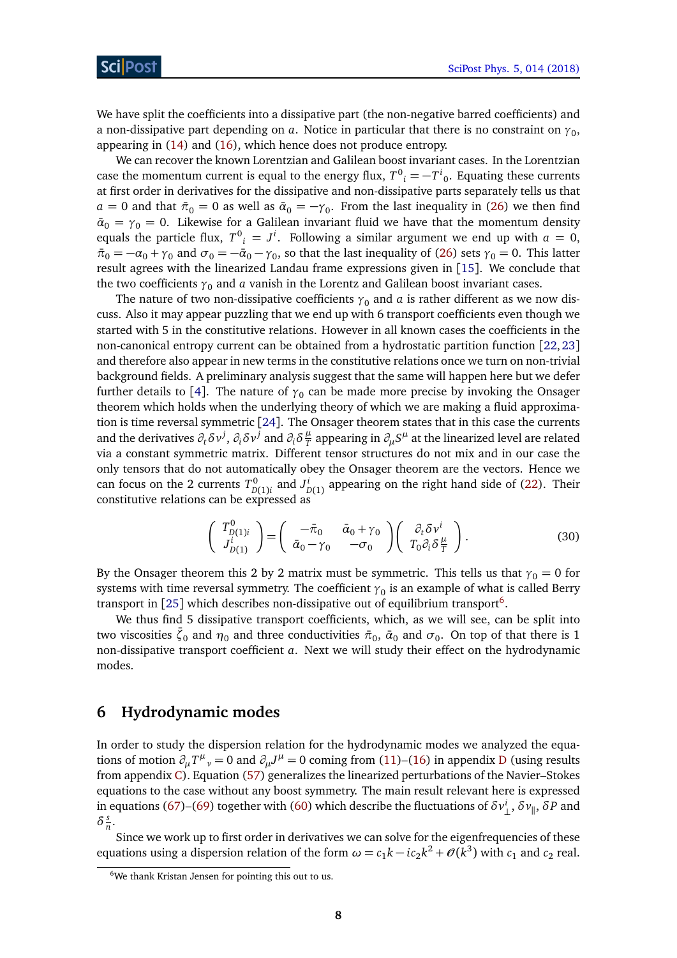We have split the coefficients into a dissipative part (the non-negative barred coefficients) and a non-dissipative part depending on  $a$ . Notice in particular that there is no constraint on  $\gamma_{0},$ appearing in [\(14\)](#page-6-2) and [\(16\)](#page-6-2), which hence does not produce entropy.

We can recover the known Lorentzian and Galilean boost invariant cases. In the Lorentzian case the momentum current is equal to the energy flux,  $T^0{}_i = -T^i{}_0$ . Equating these currents at first order in derivatives for the dissipative and non-dissipative parts separately tells us that *a* = 0 and that  $\bar{\pi}_0 = 0$  as well as  $\bar{\alpha}_0 = -\gamma_0$ . From the last inequality in [\(26\)](#page-7-3) we then find  $\bar{a}_0 = \gamma_0 = 0$ . Likewise for a Galilean invariant fluid we have that the momentum density equals the particle flux,  $T^0$ <sub>*i*</sub> =  $J^i$ . Following a similar argument we end up with  $a = 0$ ,  $\bar{\pi}_0 = -\alpha_0 + \gamma_0$  and  $\sigma_0 = -\bar{\alpha}_0 - \gamma_0$ , so that the last inequality of [\(26\)](#page-7-3) sets  $\gamma_0 = 0$ . This latter result agrees with the linearized Landau frame expressions given in [[15](#page-18-4)]. We conclude that the two coefficients  $\gamma_0$  and *a* vanish in the Lorentz and Galilean boost invariant cases.

The nature of two non-dissipative coefficients  $\gamma_0$  and *a* is rather different as we now discuss. Also it may appear puzzling that we end up with 6 transport coefficients even though we started with 5 in the constitutive relations. However in all known cases the coefficients in the non-canonical entropy current can be obtained from a hydrostatic partition function [[22,](#page-18-5) [23](#page-18-6)] and therefore also appear in new terms in the constitutive relations once we turn on non-trivial background fields. A preliminary analysis suggest that the same will happen here but we defer further details to [[4](#page-17-2)]. The nature of  $\gamma_0$  can be made more precise by invoking the Onsager theorem which holds when the underlying theory of which we are making a fluid approximation is time reversal symmetric [[24](#page-18-7)]. The Onsager theorem states that in this case the currents and the derivatives  $\partial_t \delta v^j$ ,  $\partial_i \delta v^{\bar{j}}$  and  $\partial_i \delta \frac{\mu}{T}$  $\frac{\mu}{T}$  appearing in  $\partial_\mu S^\mu$  at the linearized level are related via a constant symmetric matrix. Different tensor structures do not mix and in our case the only tensors that do not automatically obey the Onsager theorem are the vectors. Hence we can focus on the 2 currents  $T_p^0$  $D^{0}_{D(1)i}$  and  $J^{i}_{I}$  $\sum_{D(1)}^{L}$  appearing on the right hand side of [\(22\)](#page-7-4). Their constitutive relations can be expressed as

$$
\begin{pmatrix}\nT_{D(1)i}^0 \\
J_{D(1)}^i\n\end{pmatrix} = \begin{pmatrix}\n-\bar{\pi}_0 & \bar{\alpha}_0 + \gamma_0 \\
\bar{\alpha}_0 - \gamma_0 & -\sigma_0\n\end{pmatrix} \begin{pmatrix}\n\partial_t \delta v^i \\
T_0 \partial_i \delta \frac{\mu}{T}\n\end{pmatrix}.
$$
\n(30)

By the Onsager theorem this 2 by 2 matrix must be symmetric. This tells us that  $\gamma_0 = 0$  for systems with time reversal symmetry. The coefficient  ${\gamma}_0$  is an example of what is called Berry transport in [[25](#page-18-8)] which describes non-dissipative out of equilibrium transport $^6$  $^6$ .

We thus find 5 dissipative transport coefficients, which, as we will see, can be split into two viscosities  $\bar{\zeta}_0$  and  $\eta_0$  and three conductivities  $\bar{\pi}_0$ ,  $\bar{\alpha}_0$  and  $\sigma_0$ . On top of that there is 1 non-dissipative transport coefficient *a*. Next we will study their effect on the hydrodynamic modes.

# <span id="page-8-0"></span>**6 Hydrodynamic modes**

In order to study the dispersion relation for the hydrodynamic modes we analyzed the equations of motion  $\partial_\mu T^\mu{}_\nu = 0$  and  $\partial_\mu J^\mu = 0$  coming from [\(11\)](#page-6-2)–[\(16\)](#page-6-2) in appendix [D](#page-14-0) (using results from appendix [C\)](#page-13-0). Equation [\(57\)](#page-14-1) generalizes the linearized perturbations of the Navier–Stokes equations to the case without any boost symmetry. The main result relevant here is expressed in equations [\(67\)](#page-16-1)–[\(69\)](#page-16-1) together with [\(60\)](#page-14-3) which describe the fluctuations of  $\delta v_{\perp}^i, \delta v_{\parallel}, \delta P$  and  $\delta \frac{s}{n}$  $\frac{s}{n}$ .

Since we work up to first order in derivatives we can solve for the eigenfrequencies of these equations using a dispersion relation of the form  $\omega = c_1 k - i c_2 k^2 + \mathcal{O}(k^3)$  with  $c_1$  and  $c_2$  real.

<span id="page-8-1"></span><sup>&</sup>lt;sup>6</sup>We thank Kristan Jensen for pointing this out to us.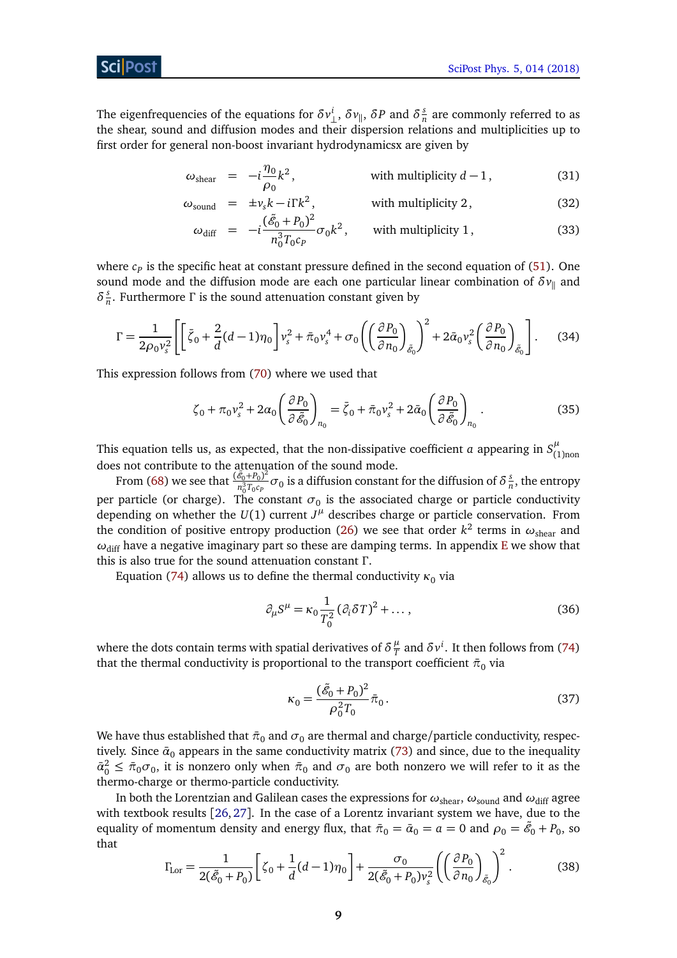The eigenfrequencies of the equations for  $\delta v_{\perp}^i$ ,  $\delta v_{\parallel}$ ,  $\delta P$  and  $\delta \frac{s}{\hbar}$  $\frac{s}{n}$  are commonly referred to as the shear, sound and diffusion modes and their dispersion relations and multiplicities up to first order for general non-boost invariant hydrodynamicsx are given by

<span id="page-9-0"></span>
$$
\omega_{\text{shear}} = -i \frac{\eta_0}{\rho_0} k^2, \qquad \text{with multiplicity } d - 1,
$$
 (31)

$$
\omega_{\text{sound}} = \pm v_s k - i \Gamma k^2, \qquad \text{with multiplicity 2,} \tag{32}
$$

$$
\omega_{\text{diff}} = -i \frac{(\tilde{\mathcal{E}}_0 + P_0)^2}{n_0^3 T_0 c_P} \sigma_0 k^2, \quad \text{with multiplicity 1,}
$$
 (33)

where  $c_p$  is the specific heat at constant pressure defined in the second equation of  $(51)$ . One sound mode and the diffusion mode are each one particular linear combination of  $\delta v_{\parallel}$  and  $\delta \frac{s}{n}$ *n* . Furthermore *Γ* is the sound attenuation constant given by

<span id="page-9-1"></span>
$$
\Gamma = \frac{1}{2\rho_0 v_s^2} \left[ \left[ \bar{\zeta}_0 + \frac{2}{d} (d - 1) \eta_0 \right] v_s^2 + \bar{\pi}_0 v_s^4 + \sigma_0 \left( \left( \frac{\partial P_0}{\partial n_0} \right)_{\tilde{\mathcal{E}}_0} \right)^2 + 2 \bar{\alpha}_0 v_s^2 \left( \frac{\partial P_0}{\partial n_0} \right)_{\tilde{\mathcal{E}}_0} \right].
$$
 (34)

This expression follows from [\(70\)](#page-16-2) where we used that

$$
\zeta_0 + \pi_0 v_s^2 + 2\alpha_0 \left(\frac{\partial P_0}{\partial \tilde{\mathcal{E}}_0}\right)_{n_0} = \bar{\zeta}_0 + \bar{\pi}_0 v_s^2 + 2\bar{\alpha}_0 \left(\frac{\partial P_0}{\partial \tilde{\mathcal{E}}_0}\right)_{n_0}.
$$
 (35)

This equation tells us, as expected, that the non-dissipative coefficient *a* appearing in  $S^{\mu}_{\epsilon}$ (1)non does not contribute to the attenuation of the sound mode.

From [\(68\)](#page-16-1) we see that  $\frac{(\tilde{\mathscr{E}}_0 + P_0)^2}{n^3 T_c}$  $\frac{\mathscr{E}_0 + P_0}{n_0^3 T_0 c_P} \sigma_0$  is a diffusion constant for the diffusion of  $\delta \frac{S}{r}$  $\frac{s}{n}$ , the entropy per particle (or charge). The constant  $\sigma_0$  is the associated charge or particle conductivity depending on whether the  $U(1)$  current  $J^{\mu}$  describes charge or particle conservation. From the condition of positive entropy production [\(26\)](#page-7-3) we see that order  $k^2$  terms in  $\omega_\mathrm{shear}$  and  $ω$ <sub>diff</sub> have a negative imaginary part so these are damping terms. In appendix [E](#page-16-0) we show that this is also true for the sound attenuation constant *Γ* .

Equation [\(74\)](#page-17-0) allows us to define the thermal conductivity  $\kappa_0$  via

$$
\partial_{\mu}S^{\mu} = \kappa_0 \frac{1}{T_0^2} (\partial_i \delta T)^2 + \dots,
$$
\n(36)

where the dots contain terms with spatial derivatives of  $\delta \frac{\mu}{T}$  $\frac{\mu}{T}$  and  $\delta v^i$ . It then follows from [\(74\)](#page-17-0) that the thermal conductivity is proportional to the transport coefficient  $\bar{\pi}_0$  via

$$
\kappa_0 = \frac{(\tilde{\mathcal{E}}_0 + P_0)^2}{\rho_0^2 T_0} \bar{\pi}_0.
$$
\n(37)

We have thus established that  $\bar{\pi}_0$  and  $\sigma_0$  are thermal and charge/particle conductivity, respectively. Since  $\bar{a}_0$  appears in the same conductivity matrix [\(73\)](#page-16-3) and since, due to the inequality  $\bar{\alpha}_0^2 \le \bar{\pi}_0 \sigma_0$ , it is nonzero only when  $\bar{\pi}_0$  and  $\sigma_0$  are both nonzero we will refer to it as the thermo-charge or thermo-particle conductivity.

In both the Lorentzian and Galilean cases the expressions for  $\omega_{shear}$ ,  $\omega_{sound}$  and  $\omega_{diff}$  agree with textbook results [[26,](#page-18-9) [27](#page-18-10)]. In the case of a Lorentz invariant system we have, due to the equality of momentum density and energy flux, that  $\bar{\pi}_0 = \bar{\alpha}_0 = a = 0$  and  $\rho_0 = \tilde{\mathscr{E}}_0 + P_0$ , so that

$$
\Gamma_{\text{Lor}} = \frac{1}{2(\tilde{\mathcal{E}}_0 + P_0)} \left[ \zeta_0 + \frac{1}{d} (d - 1) \eta_0 \right] + \frac{\sigma_0}{2(\tilde{\mathcal{E}}_0 + P_0) v_s^2} \left( \left( \frac{\partial P_0}{\partial n_0} \right)_{\tilde{\mathcal{E}}_0} \right)^2. \tag{38}
$$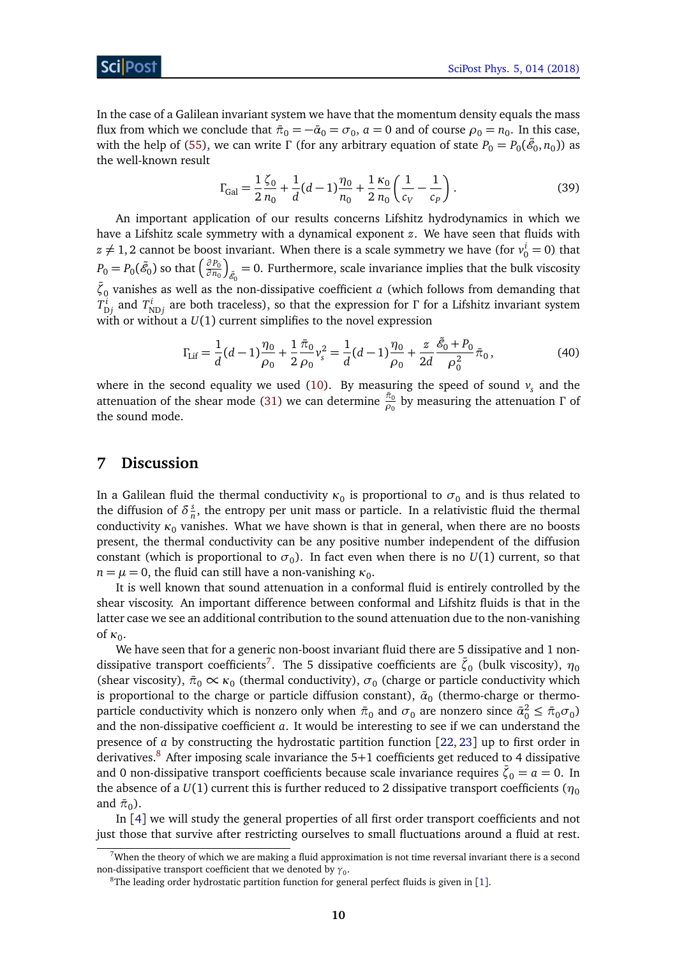In the case of a Galilean invariant system we have that the momentum density equals the mass flux from which we conclude that  $\bar{\pi}_0 = -\bar{\alpha}_0 = \sigma_0$ ,  $a = 0$  and of course  $\rho_0 = n_0$ . In this case, with the help of [\(55\)](#page-14-4), we can write *Γ* (for any arbitrary equation of state  $P_0 = P_0(\tilde{\mathscr{E}}_0, n_0)$ ) as the well-known result

$$
\Gamma_{\text{Gal}} = \frac{1}{2} \frac{\zeta_0}{n_0} + \frac{1}{d} (d-1) \frac{\eta_0}{n_0} + \frac{1}{2} \frac{\kappa_0}{n_0} \left( \frac{1}{c_V} - \frac{1}{c_P} \right). \tag{39}
$$

An important application of our results concerns Lifshitz hydrodynamics in which we have a Lifshitz scale symmetry with a dynamical exponent *z*. We have seen that fluids with  $z \neq 1, 2$  cannot be boost invariant. When there is a scale symmetry we have (for  $v_0^i = 0$ ) that  $P_0 = P_0(\tilde{\mathscr{E}}_0)$  so that  $\Big(\frac{\partial P_0}{\partial n_0}\Big)$ *∂ n*<sup>0</sup> λ  $_{\tilde{\mathscr{E}}_0}=0$ . Furthermore, scale invariance implies that the bulk viscosity  $\bar{\zeta}_0$  vanishes as well as the non-dissipative coefficient *a* (which follows from demanding that  $T_{\rm Dj}^i$  and  $T_{\rm NDj}^i$  are both traceless), so that the expression for *Γ* for a Lifshitz invariant system with or without a  $U(1)$  current simplifies to the novel expression

$$
\Gamma_{\text{Lif}} = \frac{1}{d}(d-1)\frac{\eta_0}{\rho_0} + \frac{1}{2}\frac{\bar{\pi}_0}{\rho_0}v_s^2 = \frac{1}{d}(d-1)\frac{\eta_0}{\rho_0} + \frac{z}{2d}\frac{\tilde{\mathscr{E}}_0 + P_0}{\rho_0^2}\bar{\pi}_0,\tag{40}
$$

where in the second equality we used [\(10\)](#page-5-1). By measuring the speed of sound  $v<sub>s</sub>$  and the attenuation of the shear mode [\(31\)](#page-9-0) we can determine  $\frac{\bar{\pi}_0}{\rho_0}$  by measuring the attenuation Γ of the sound mode.

## <span id="page-10-0"></span>**7 Discussion**

In a Galilean fluid the thermal conductivity  $\kappa_0$  is proportional to  $\sigma_0$  and is thus related to the diffusion of  $\delta \frac{s}{n}$  $\frac{s}{n}$ , the entropy per unit mass or particle. In a relativistic fluid the thermal conductivity  $\kappa_0$  vanishes. What we have shown is that in general, when there are no boosts present, the thermal conductivity can be any positive number independent of the diffusion constant (which is proportional to  $\sigma_0$ ). In fact even when there is no  $U(1)$  current, so that  $n = \mu = 0$ , the fluid can still have a non-vanishing  $\kappa_0$ .

It is well known that sound attenuation in a conformal fluid is entirely controlled by the shear viscosity. An important difference between conformal and Lifshitz fluids is that in the latter case we see an additional contribution to the sound attenuation due to the non-vanishing of κ<sub>0</sub>.

We have seen that for a generic non-boost invariant fluid there are 5 dissipative and 1 non-dissipative transport coefficients<sup>[7](#page-10-1)</sup>. The 5 dissipative coefficients are  $\bar{\zeta}_0$  (bulk viscosity),  $\eta_0$ (shear viscosity),  $\bar{\pi}_0 \propto \kappa_0$  (thermal conductivity),  $\sigma_0$  (charge or particle conductivity which is proportional to the charge or particle diffusion constant),  $\bar{a}_0$  (thermo-charge or thermoparticle conductivity which is nonzero only when  $\bar{\pi}_0$  and  $\sigma_0$  are nonzero since  $\bar{\alpha}_0^2 \leq \bar{\pi}_0 \sigma_0$ ) and the non-dissipative coefficient *a*. It would be interesting to see if we can understand the presence of *a* by constructing the hydrostatic partition function [[22,](#page-18-5) [23](#page-18-6)] up to first order in derivatives.<sup>[8](#page-10-2)</sup> After imposing scale invariance the  $5+1$  coefficients get reduced to 4 dissipative and 0 non-dissipative transport coefficients because scale invariance requires  $\bar{\zeta}_0 = a = 0$ . In the absence of a  $U(1)$  current this is further reduced to 2 dissipative transport coefficients ( $\eta_0$ ) and  $\bar{\pi}_0$ ).

In [[4](#page-17-2)] we will study the general properties of all first order transport coefficients and not just those that survive after restricting ourselves to small fluctuations around a fluid at rest.

<span id="page-10-1"></span> $7$ When the theory of which we are making a fluid approximation is not time reversal invariant there is a second non-dissipative transport coefficient that we denoted by  ${\gamma}_0.$ 

<span id="page-10-2"></span> $8$ The leading order hydrostatic partition function for general perfect fluids is given in [[1](#page-17-1)].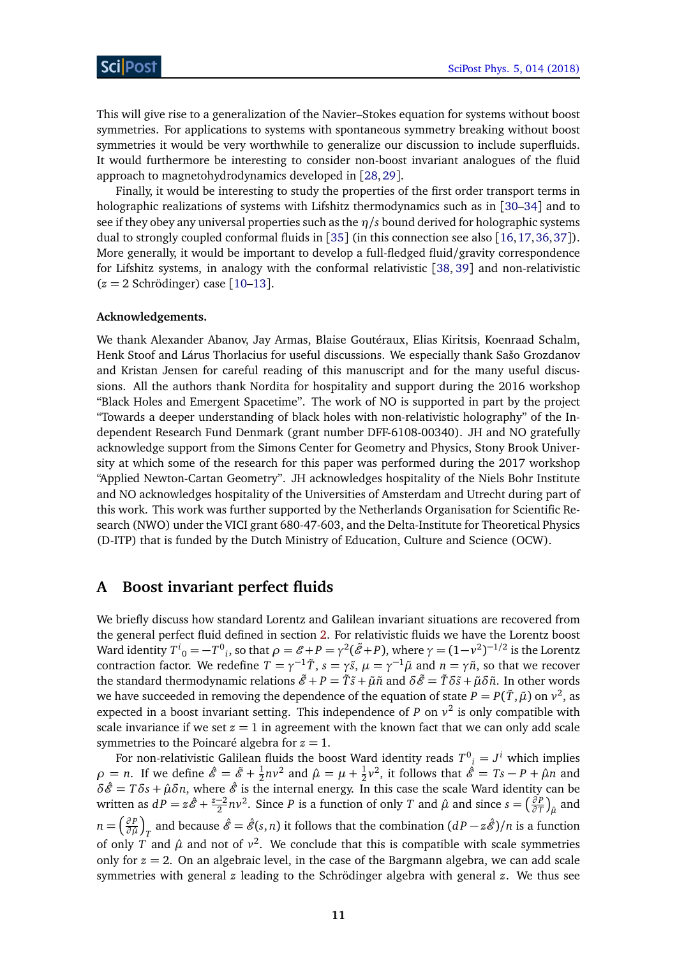This will give rise to a generalization of the Navier–Stokes equation for systems without boost symmetries. For applications to systems with spontaneous symmetry breaking without boost symmetries it would be very worthwhile to generalize our discussion to include superfluids. It would furthermore be interesting to consider non-boost invariant analogues of the fluid approach to magnetohydrodynamics developed in [[28,](#page-18-11)[29](#page-19-0)].

Finally, it would be interesting to study the properties of the first order transport terms in holographic realizations of systems with Lifshitz thermodynamics such as in [[30–](#page-19-1)[34](#page-19-2)] and to see if they obey any universal properties such as the *η/s* bound derived for holographic systems dual to strongly coupled conformal fluids in [[35](#page-19-3)] (in this connection see also [[16,](#page-18-12)[17,](#page-18-13)[36,](#page-19-4)[37](#page-19-5)]). More generally, it would be important to develop a full-fledged fluid/gravity correspondence for Lifshitz systems, in analogy with the conformal relativistic [[38,](#page-19-6) [39](#page-19-7)] and non-relativistic  $(z = 2$  Schrödinger) case  $[10-13]$  $[10-13]$  $[10-13]$ .

#### **Acknowledgements.**

We thank Alexander Abanov, Jay Armas, Blaise Goutéraux, Elias Kiritsis, Koenraad Schalm, Henk Stoof and Lárus Thorlacius for useful discussions. We especially thank Sašo Grozdanov and Kristan Jensen for careful reading of this manuscript and for the many useful discussions. All the authors thank Nordita for hospitality and support during the 2016 workshop "Black Holes and Emergent Spacetime". The work of NO is supported in part by the project "Towards a deeper understanding of black holes with non-relativistic holography" of the Independent Research Fund Denmark (grant number DFF-6108-00340). JH and NO gratefully acknowledge support from the Simons Center for Geometry and Physics, Stony Brook University at which some of the research for this paper was performed during the 2017 workshop "Applied Newton-Cartan Geometry". JH acknowledges hospitality of the Niels Bohr Institute and NO acknowledges hospitality of the Universities of Amsterdam and Utrecht during part of this work. This work was further supported by the Netherlands Organisation for Scientific Research (NWO) under the VICI grant 680-47-603, and the Delta-Institute for Theoretical Physics (D-ITP) that is funded by the Dutch Ministry of Education, Culture and Science (OCW).

# <span id="page-11-0"></span>**A Boost invariant perfect fluids**

We briefly discuss how standard Lorentz and Galilean invariant situations are recovered from the general perfect fluid defined in section [2.](#page-3-0) For relativistic fluids we have the Lorentz boost Ward identity  $T^i{}_0 = -T^0{}_i$ , so that  $\rho = \mathscr{E} + P = \gamma^2(\tilde{\mathscr{E}} + P)$ , where  $\gamma = (1 - \nu^2)^{-1/2}$  is the Lorentz contraction factor. We redefine  $T = \gamma^{-1}\tilde{T}$ ,  $s = \gamma \tilde{s}$ ,  $\mu = \gamma^{-1}\tilde{\mu}$  and  $n = \gamma \tilde{n}$ , so that we recover the standard thermodynamic relations  $\tilde{\mathscr{E}} + P = \tilde{T}\tilde{s} + \tilde{\mu}\tilde{n}$  and  $\delta\tilde{\mathscr{E}} = \tilde{T}\delta\tilde{s} + \tilde{\mu}\delta\tilde{n}$ . In other words we have succeeded in removing the dependence of the equation of state  $P = P(\tilde{T}, \tilde{\mu})$  on  $v^2$ , as expected in a boost invariant setting. This independence of *P* on  $v^2$  is only compatible with scale invariance if we set  $z = 1$  in agreement with the known fact that we can only add scale symmetries to the Poincaré algebra for  $z = 1$ .

For non-relativistic Galilean fluids the boost Ward identity reads  $T^0_{\;\;i}=J^i$  which implies  $\rho = n$ . If we define  $\hat{\mathscr{E}} = \tilde{\mathscr{E}} + \frac{1}{2}$  $\frac{1}{2}nv^2$  and  $\hat{\mu} = \mu + \frac{1}{2}$  $\frac{1}{2}v^2$ , it follows that  $\hat{\mathscr{E}} = Ts - P + \hat{\mu}n$  and  $\delta \hat{\mathcal{E}} = T \delta s + \hat{\mu} \delta n$ , where  $\hat{\mathcal{E}}$  is the internal energy. In this case the scale Ward identity can be written as  $dP = z\hat{E} + \frac{z-2}{2}$  $\frac{-2}{2}nv^2$ . Since *P* is a function of only *T* and  $\hat{\mu}$  and since  $s = \left(\frac{\partial P}{\partial T}\right)^2$  $\left(\frac{\partial P}{\partial T}\right)_{\hat{\mu}}$  and *n* =  $\left(\frac{\partial P}{\partial \hat{\mu}}\right)$ *∂ µ*ˆ *T* and because  $\hat{\mathscr{E}} = \hat{\mathscr{E}}(s, n)$  it follows that the combination  $(dP - z\hat{\mathscr{E}})/n$  is a function of only *T* and  $\hat{\mu}$  and not of  $v^2$ . We conclude that this is compatible with scale symmetries only for  $z = 2$ . On an algebraic level, in the case of the Bargmann algebra, we can add scale symmetries with general *z* leading to the Schrödinger algebra with general *z*. We thus see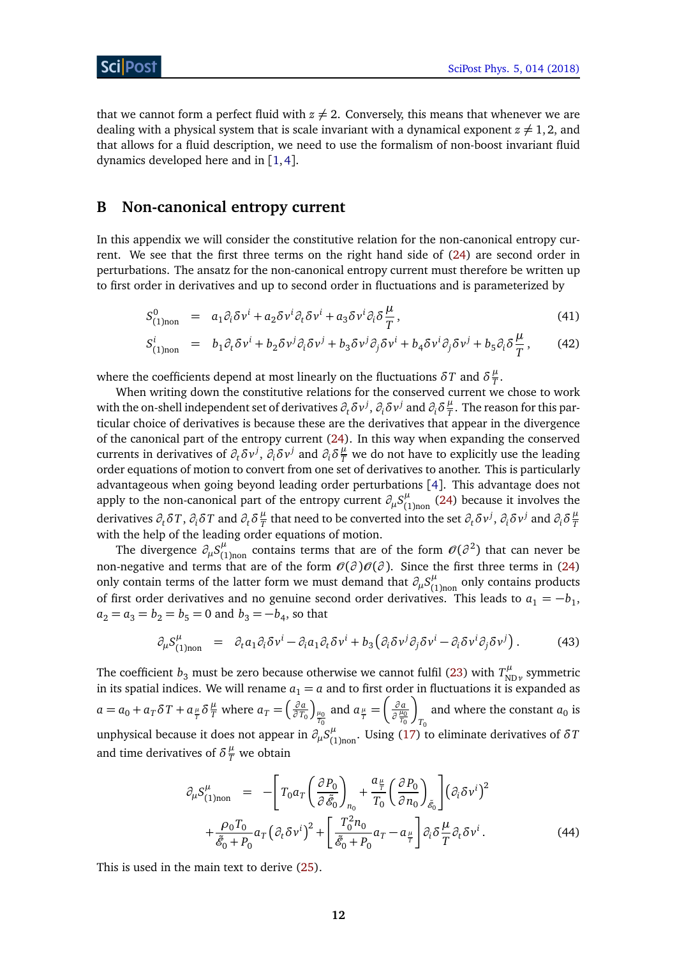that we cannot form a perfect fluid with  $z \neq 2$ . Conversely, this means that whenever we are dealing with a physical system that is scale invariant with a dynamical exponent  $z \neq 1, 2$ , and that allows for a fluid description, we need to use the formalism of non-boost invariant fluid dynamics developed here and in [[1,](#page-17-1)[4](#page-17-2)].

# <span id="page-12-0"></span>**B Non-canonical entropy current**

In this appendix we will consider the constitutive relation for the non-canonical entropy current. We see that the first three terms on the right hand side of [\(24\)](#page-7-2) are second order in perturbations. The ansatz for the non-canonical entropy current must therefore be written up to first order in derivatives and up to second order in fluctuations and is parameterized by

$$
S_{(1)non}^{0} = a_1 \partial_i \delta v^i + a_2 \delta v^i \partial_t \delta v^i + a_3 \delta v^i \partial_i \delta \frac{\mu}{T}, \qquad (41)
$$

$$
S_{(1)non}^{i} = b_{1}\partial_{t}\delta v^{i} + b_{2}\delta v^{j}\partial_{i}\delta v^{j} + b_{3}\delta v^{j}\partial_{j}\delta v^{i} + b_{4}\delta v^{i}\partial_{j}\delta v^{j} + b_{5}\partial_{i}\delta \frac{\mu}{T}, \qquad (42)
$$

where the coefficients depend at most linearly on the fluctuations  $\delta T$  and  $\delta \frac{\mu}{T}$  $\frac{\mu}{T}$ .

When writing down the constitutive relations for the conserved current we chose to work with the on-shell independent set of derivatives  $\partial_t\delta v^j,$   $\partial_i\delta v^j$  and  $\partial_i\delta\frac{\mu}{T}$  $\frac{\mu}{T}$ . The reason for this particular choice of derivatives is because these are the derivatives that appear in the divergence of the canonical part of the entropy current [\(24\)](#page-7-2). In this way when expanding the conserved currents in derivatives of  $\partial_t \delta v^j$ ,  $\partial_i \delta v^j$  and  $\partial_i \delta \frac{\mu}{T}$  we do not have to explicitly use the leading order equations of motion to convert from one set of derivatives to another. This is particularly advantageous when going beyond leading order perturbations [[4](#page-17-2)]. This advantage does not apply to the non-canonical part of the entropy current  $\partial_\mu S^\mu_{ij}$  $\binom{\mu}{1}$ <sub>non</sub> [\(24\)](#page-7-2) because it involves the derivatives  $\partial_t \delta T$ ,  $\partial_i \delta T$  and  $\partial_t \delta \frac{\mu}{T}$  $\frac{\mu}{T}$  that need to be converted into the set  $\partial_t \delta v^j$ ,  $\partial_i \delta v^j$  and  $\partial_i \delta \frac{\mu}{T}$ *T* with the help of the leading order equations of motion.

The divergence  $\partial_\mu S^\mu_{(1)}$  $\mu$ <sub>(1)non</sub> contains terms that are of the form  $\mathcal{O}(\partial^2)$  that can never be non-negative and terms that are of the form  $\mathcal{O}(\partial)\mathcal{O}(\partial)$ . Since the first three terms in [\(24\)](#page-7-2) only contain terms of the latter form we must demand that  $\partial_\mu S^\mu_{\mu\nu}$  $\int_{(1)$ non only contains products of first order derivatives and no genuine second order derivatives. This leads to  $a_1 = -b_1$ ,  $a_2 = a_3 = b_2 = b_5 = 0$  and  $b_3 = -b_4$ , so that

$$
\partial_{\mu} S_{(1) non}^{\mu} = \partial_t a_1 \partial_i \delta v^i - \partial_i a_1 \partial_t \delta v^i + b_3 \left( \partial_i \delta v^j \partial_j \delta v^i - \partial_i \delta v^i \partial_j \delta v^j \right). \tag{43}
$$

The coefficient  $b_3$  must be zero because otherwise we cannot fulfil [\(23\)](#page-7-5) with  $T_{\rm N}^\mu$ <sup>ιμ</sup><br><sub>NDν</sub> symmetric in its spatial indices. We will rename  $a_1 = a$  and to first order in fluctuations it is expanded as  $a = a_0 + a_T \delta T + a_{\frac{\mu}{T}} \delta \frac{\mu}{T}$  where  $a_T = \left(\frac{\partial a_T}{\partial T_t}\right)$ *∂ T*<sup>0</sup>  $\int_{\frac{\mu_0}{T_0}}$ and  $a_{\frac{\mu}{T}} =$  *∂ a ∂ µ*0 *T*0 λ *T*0 and where the constant  $a_0$  is unphysical because it does not appear in  $\partial_\mu S^\mu_{\mu\nu}$  $\int_{(1)$ <sub>non</sub>. Using [\(17\)](#page-6-3) to eliminate derivatives of  $\delta T$ and time derivatives of  $\delta \frac{\mu}{T}$  we obtain

$$
\partial_{\mu} S_{(1)non}^{\mu} = - \left[ T_0 a_T \left( \frac{\partial P_0}{\partial \tilde{\mathscr{E}}_0} \right)_{n_0} + \frac{a_{\frac{\mu}{T}}}{T_0} \left( \frac{\partial P_0}{\partial n_0} \right)_{\tilde{\mathscr{E}}_0} \right] \left( \partial_i \delta v^i \right)^2 + \frac{\rho_0 T_0}{\tilde{\mathscr{E}}_0 + P_0} a_T \left( \partial_t \delta v^i \right)^2 + \left[ \frac{T_0^2 n_0}{\tilde{\mathscr{E}}_0 + P_0} a_T - a_{\frac{\mu}{T}} \right] \partial_i \delta \frac{\mu}{T} \partial_t \delta v^i.
$$
(44)

This is used in the main text to derive [\(25\)](#page-7-1).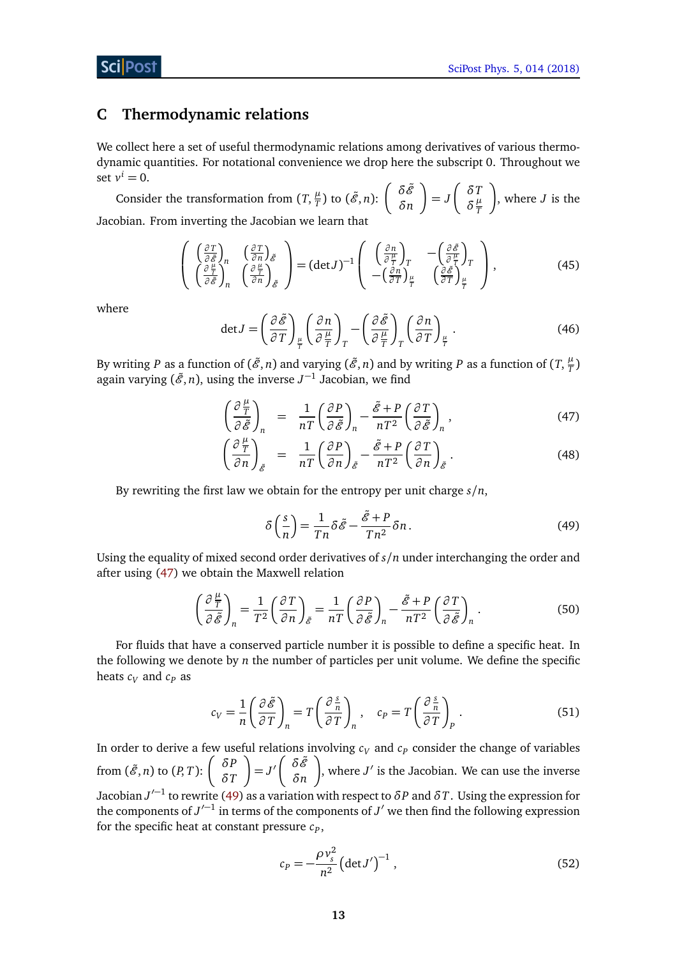# <span id="page-13-0"></span>**C Thermodynamic relations**

We collect here a set of useful thermodynamic relations among derivatives of various thermodynamic quantities. For notational convenience we drop here the subscript 0. Throughout we set  $v^i = 0$ .

Consider the transformation from  $(T, \frac{\mu}{T})$  $\frac{\mu}{T}$ ) to  $(\tilde{\mathscr{E}}, n)$ :  $\begin{cases} \delta \tilde{\mathscr{E}} \\ \delta n \end{cases}$ *δn* λ  $= J$  *δT*  $\delta \frac{\mu}{T}$ *T* λ , where *J* is the Jacobian. From inverting the Jacobian we learn that

$$
\begin{pmatrix}\n\left(\frac{\partial T}{\partial \tilde{\mathscr{E}}}\right)_n & \left(\frac{\partial T}{\partial n}\right)_{\tilde{\mathscr{E}} \\
\left(\frac{\partial \frac{\mu}{T}}{\partial \tilde{\mathscr{E}}}\right)_n & \left(\frac{\partial \frac{\mu}{T}}{\partial n}\right)_{\tilde{\mathscr{E}}}\n\end{pmatrix} = (\det J)^{-1} \begin{pmatrix}\n\left(\frac{\partial n}{\partial \frac{\mu}{T}}\right)_T & -\left(\frac{\partial \tilde{\mathscr{E}}}{\partial \frac{\mu}{T}}\right)_T \\
-\left(\frac{\partial n}{\partial T}\right)_\mu & \left(\frac{\partial \tilde{\mathscr{E}}}{\partial T}\right)_\frac{\mu}{T}\n\end{pmatrix},
$$
\n(45)

<span id="page-13-7"></span>where

<span id="page-13-6"></span>
$$
\det J = \left(\frac{\partial \tilde{\mathscr{E}}}{\partial T}\right)_{\frac{\mu}{T}} \left(\frac{\partial n}{\partial \frac{\mu}{T}}\right)_T - \left(\frac{\partial \tilde{\mathscr{E}}}{\partial \frac{\mu}{T}}\right)_T \left(\frac{\partial n}{\partial T}\right)_{\frac{\mu}{T}}.
$$
(46)

By writing  $P$  as a function of  $(\tilde{\mathscr{E}},n)$  and varying  $(\tilde{\mathscr{E}},n)$  and by writing  $P$  as a function of  $(T,\frac{\mu}{T})$  $\frac{r}{T}$ again varying  $(\tilde{\mathcal{E}}, n)$ , using the inverse  $J^{-1}$  Jacobian, we find

<span id="page-13-3"></span>
$$
\left(\frac{\partial \frac{\mu}{T}}{\partial \tilde{\mathscr{E}}}\right)_n = \frac{1}{nT} \left(\frac{\partial P}{\partial \tilde{\mathscr{E}}}\right)_n - \frac{\tilde{\mathscr{E}} + P}{nT^2} \left(\frac{\partial T}{\partial \tilde{\mathscr{E}}}\right)_n, \tag{47}
$$

$$
\left(\frac{\partial \frac{\mu}{T}}{\partial n}\right)_{\tilde{\mathscr{E}}} = \frac{1}{nT} \left(\frac{\partial P}{\partial n}\right)_{\tilde{\mathscr{E}}} - \frac{\tilde{\mathscr{E}} + P}{nT^2} \left(\frac{\partial T}{\partial n}\right)_{\tilde{\mathscr{E}}}.
$$
\n(48)

By rewriting the first law we obtain for the entropy per unit charge *s/n*,

<span id="page-13-5"></span><span id="page-13-1"></span>
$$
\delta\left(\frac{s}{n}\right) = \frac{1}{Tn}\delta\tilde{\mathscr{E}} - \frac{\tilde{\mathscr{E}} + P}{Tn^2}\delta n. \tag{49}
$$

Using the equality of mixed second order derivatives of *s/n* under interchanging the order and after using [\(47\)](#page-13-3) we obtain the Maxwell relation

$$
\left(\frac{\partial \frac{\mu}{T}}{\partial \tilde{\mathscr{E}}}\right)_n = \frac{1}{T^2} \left(\frac{\partial T}{\partial n}\right)_{\tilde{\mathscr{E}}} = \frac{1}{nT} \left(\frac{\partial P}{\partial \tilde{\mathscr{E}}}\right)_n - \frac{\tilde{\mathscr{E}} + P}{nT^2} \left(\frac{\partial T}{\partial \tilde{\mathscr{E}}}\right)_n.
$$
(50)

For fluids that have a conserved particle number it is possible to define a specific heat. In the following we denote by *n* the number of particles per unit volume. We define the specific heats  $c_V$  and  $c_P$  as

<span id="page-13-2"></span>
$$
c_V = \frac{1}{n} \left( \frac{\partial \tilde{\mathcal{E}}}{\partial T} \right)_n = T \left( \frac{\partial \frac{\mathcal{E}}{n}}{\partial T} \right)_n, \quad c_P = T \left( \frac{\partial \frac{\mathcal{E}}{n}}{\partial T} \right)_P.
$$
 (51)

In order to derive a few useful relations involving  $c_V$  and  $c_P$  consider the change of variables from  $(\tilde{\mathscr{E}}, n)$  to  $(P, T)$ :  $\begin{pmatrix} \delta P \\ \delta T \end{pmatrix}$ *δT* λ  $= J' \begin{pmatrix} \delta \tilde{\mathscr{E}} \\ \delta n \end{pmatrix}$ *δn* λ , where  $J'$  is the Jacobian. We can use the inverse Jacobian *J* 0−1 to rewrite [\(49\)](#page-13-1) as a variation with respect to *δP* and *δT*. Using the expression for the components of  $J'^{-1}$  in terms of the components of  $J'$  we then find the following expression for the specific heat at constant pressure  $c_p$ ,

<span id="page-13-4"></span>
$$
c_P = -\frac{\rho v_s^2}{n^2} \left( \det J' \right)^{-1},\tag{52}
$$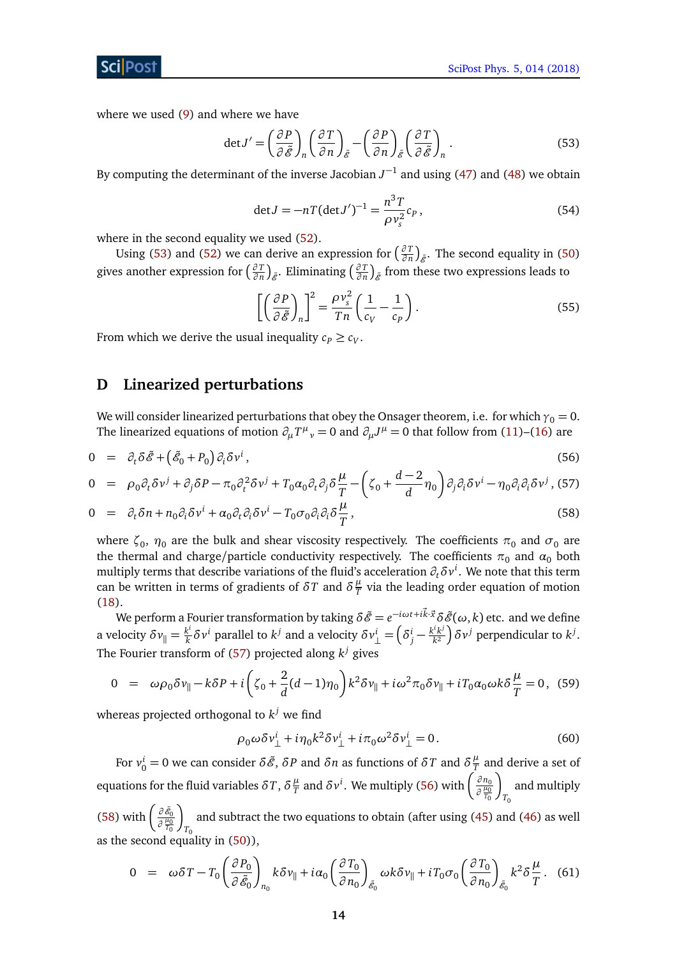where we used [\(9\)](#page-5-2) and where we have

<span id="page-14-5"></span>
$$
\det J' = \left(\frac{\partial P}{\partial \tilde{\mathscr{E}}}\right)_n \left(\frac{\partial T}{\partial n}\right)_{\tilde{\mathscr{E}}} - \left(\frac{\partial P}{\partial n}\right)_{\tilde{\mathscr{E}}} \left(\frac{\partial T}{\partial \tilde{\mathscr{E}}}\right)_n.
$$
 (53)

<span id="page-14-7"></span>By computing the determinant of the inverse Jacobian  $J^{-1}$  and using [\(47\)](#page-13-3) and [\(48\)](#page-13-3) we obtain

$$
\det J = -nT(\det J')^{-1} = \frac{n^3T}{\rho v_s^2} c_P, \qquad (54)
$$

where in the second equality we used  $(52)$ .

Using [\(53\)](#page-14-5) and [\(52\)](#page-13-4) we can derive an expression for  $\left(\frac{\partial T}{\partial n}\right)$  $\frac{\partial T}{\partial n}\Big)_{\tilde{\mathscr{E}}}$ . The second equality in [\(50\)](#page-13-5) gives another expression for  $\left(\frac{\partial T}{\partial n}\right)$  $\left(\frac{\partial T}{\partial n}\right)_{\tilde{\mathscr{E}}}$ . Eliminating  $\left(\frac{\partial T}{\partial n}\right)$ *∂T* )<sub>ℰ</sub> from these two expressions leads to

<span id="page-14-4"></span>
$$
\left[ \left( \frac{\partial P}{\partial \tilde{\mathcal{E}}} \right)_n \right]^2 = \frac{\rho v_s^2}{T n} \left( \frac{1}{c_V} - \frac{1}{c_P} \right). \tag{55}
$$

From which we derive the usual inequality  $c_P \geq c_V$ .

# <span id="page-14-0"></span>**D Linearized perturbations**

We will consider linearized perturbations that obey the Onsager theorem, i.e. for which  $\gamma_0 = 0$ . The linearized equations of motion  $\partial_{\mu}T^{\mu}{}_{\nu} = 0$  and  $\partial_{\mu}J^{\mu} = 0$  that follow from [\(11\)](#page-6-2)–[\(16\)](#page-6-2) are

<span id="page-14-1"></span>
$$
0 = \partial_t \delta \tilde{\mathscr{E}} + \left( \tilde{\mathscr{E}}_0 + P_0 \right) \partial_i \delta v^i, \tag{56}
$$

$$
0 = \rho_0 \partial_t \delta v^j + \partial_j \delta P - \pi_0 \partial_t^2 \delta v^j + T_0 \alpha_0 \partial_t \partial_j \delta \frac{\mu}{T} - \left( \zeta_0 + \frac{d-2}{d} \eta_0 \right) \partial_j \partial_i \delta v^i - \eta_0 \partial_i \partial_i \delta v^j, (57)
$$

$$
0 = \partial_t \delta n + n_0 \partial_i \delta v^i + \alpha_0 \partial_t \partial_i \delta v^i - T_0 \sigma_0 \partial_i \partial_i \delta \frac{\mu}{T}, \qquad (58)
$$

where  $\zeta_0$ ,  $\eta_0$  are the bulk and shear viscosity respectively. The coefficients  $\pi_0$  and  $\sigma_0$  are the thermal and charge/particle conductivity respectively. The coefficients  $\pi_0$  and  $\alpha_0$  both multiply terms that describe variations of the fluid's acceleration  $\partial_t\delta v^i.$  We note that this term can be written in terms of gradients of  $\delta T$  and  $\delta \frac{\mu}{T}$  $\frac{\mu}{T}$  via the leading order equation of motion [\(18\)](#page-6-3).

We perform a Fourier transformation by taking  $\delta\tilde{\mathscr{E}}=e^{-i\omega t+i\vec{k}\cdot\vec{x}}\delta\tilde{\mathscr{E}}(\omega,k)$  etc. and we define a velocity  $\delta v_{\parallel} = \frac{k^i}{k}$ *k<sup>i</sup>* parallel to *k<sup>j</sup>* and a velocity  $\delta v^i_\perp = \left( \delta^i_j - \frac{k^i k^j}{k^2} \right)$  $\left(\frac{k^{i}k^{j}}{k^{2}}\right)$ δ $\nu^{j}$  perpendicular to  $k^{j}.$ The Fourier transform of [\(57\)](#page-14-1) projected along  $k^j$  gives

<span id="page-14-6"></span>
$$
0 = \omega \rho_0 \delta v_{\parallel} - k \delta P + i \left( \zeta_0 + \frac{2}{d} (d - 1) \eta_0 \right) k^2 \delta v_{\parallel} + i \omega^2 \pi_0 \delta v_{\parallel} + i T_0 \alpha_0 \omega k \delta \frac{\mu}{T} = 0, \tag{59}
$$

whereas projected orthogonal to  $k^j$  we find

<span id="page-14-3"></span>
$$
\rho_0 \omega \delta v^i_\perp + i \eta_0 k^2 \delta v^i_\perp + i \pi_0 \omega^2 \delta v^i_\perp = 0. \tag{60}
$$

For  $v_0^i = 0$  we can consider *δČ*, *δP* and *δn* as functions of *δT* and *δ* $\frac{\mu}{T}$  $\frac{\mu}{T}$  and derive a set of equations for the fluid variables  $\delta T$ ,  $\delta \frac{\mu}{T}$  $\frac{\mu}{T}$  and  $\delta v^i$ . We multiply [\(56\)](#page-14-1) with  $\left(\frac{\partial n_0}{\partial \frac{\mu_0}{\sigma}}\right)$ *∂ µ*0 *T*0 λ *T*0 and multiply

[\(58\)](#page-14-1) with  $\left(\frac{\partial \tilde{\mathscr{E}}_0}{\partial \frac{\mu_0}{T_0}}\right)$ λ  $T_{0}$ and subtract the two equations to obtain (after using [\(45\)](#page-13-6) and [\(46\)](#page-13-7) as well as the second equality in [\(50\)](#page-13-5)),

<span id="page-14-2"></span>
$$
0 = \omega \delta T - T_0 \left( \frac{\partial P_0}{\partial \tilde{\mathcal{E}}_0} \right)_{n_0} k \delta \nu_{\parallel} + i \alpha_0 \left( \frac{\partial T_0}{\partial n_0} \right)_{\tilde{\mathcal{E}}_0} \omega k \delta \nu_{\parallel} + i T_0 \sigma_0 \left( \frac{\partial T_0}{\partial n_0} \right)_{\tilde{\mathcal{E}}_0} k^2 \delta \frac{\mu}{T} . \tag{61}
$$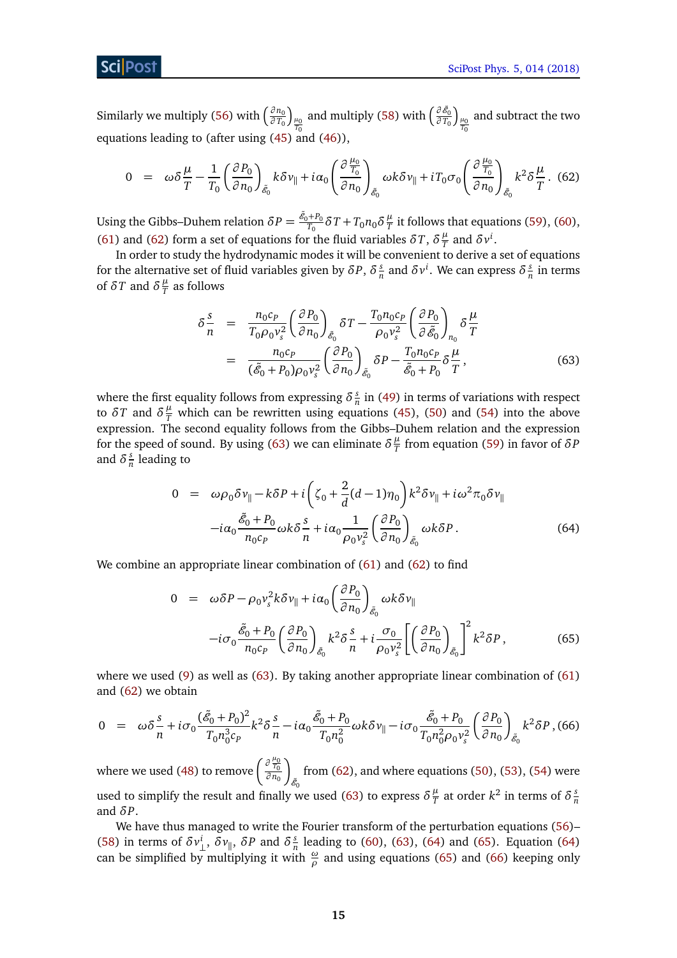Similarly we multiply [\(56\)](#page-14-1) with  $\left(\frac{\partial n_0}{\partial T_0}\right)$ *∂ T*<sup>0</sup>  $\int_{\frac{\mu_0}{T_0}}$ and multiply [\(58\)](#page-14-1) with  $\left(\frac{\partial \tilde{\mathscr{E}}_0}{\partial T_0}\right)$  $\int_{\frac{\mu_0}{T_0}}$ and subtract the two equations leading to (after using [\(45\)](#page-13-6) and [\(46\)](#page-13-7)),

<span id="page-15-0"></span>
$$
0 = \omega \delta \frac{\mu}{T} - \frac{1}{T_0} \left( \frac{\partial P_0}{\partial n_0} \right)_{\tilde{\mathcal{E}}_0} k \delta \nu_{\parallel} + i \alpha_0 \left( \frac{\partial \frac{\mu_0}{T_0}}{\partial n_0} \right)_{\tilde{\mathcal{E}}_0} \omega k \delta \nu_{\parallel} + i T_0 \sigma_0 \left( \frac{\partial \frac{\mu_0}{T_0}}{\partial n_0} \right)_{\tilde{\mathcal{E}}_0} k^2 \delta \frac{\mu}{T} .
$$
 (62)

Using the Gibbs–Duhem relation  $\delta P = \frac{\tilde{\mathscr{E}}_0 + P_0}{T_0}$  $\frac{\partial F}{\partial T_0}$ <sup>*δ*</sup> *T* + *T*<sub>0</sub>*n*<sub>0</sub>*δ*<sup> $\frac{\mu}{T}$ </sup>  $\frac{\mu}{T}$  it follows that equations [\(59\)](#page-14-6), [\(60\)](#page-14-3), [\(61\)](#page-14-2) and [\(62\)](#page-15-0) form a set of equations for the fluid variables  $\delta T$ ,  $\delta \frac{\mu}{T}$  $\frac{\mu}{T}$  and  $\delta v^i$ .

In order to study the hydrodynamic modes it will be convenient to derive a set of equations for the alternative set of fluid variables given by  $\delta P$ ,  $\delta \frac{s}{r}$  $\frac{s}{n}$  and  $\delta v^i$ . We can express  $\delta \frac{s}{r}$  $\frac{s}{n}$  in terms of  $\delta T$  and  $\delta \frac{\mu}{T}$  $\frac{\mu}{T}$  as follows

<span id="page-15-1"></span>
$$
\delta \frac{s}{n} = \frac{n_0 c_p}{T_0 \rho_0 v_s^2} \left(\frac{\partial P_0}{\partial n_0}\right)_{\tilde{\mathcal{E}}_0} \delta T - \frac{T_0 n_0 c_p}{\rho_0 v_s^2} \left(\frac{\partial P_0}{\partial \tilde{\mathcal{E}}_0}\right)_{n_0} \delta \frac{\mu}{T}
$$
\n
$$
= \frac{n_0 c_p}{(\tilde{\mathcal{E}}_0 + P_0) \rho_0 v_s^2} \left(\frac{\partial P_0}{\partial n_0}\right)_{\tilde{\mathcal{E}}_0} \delta P - \frac{T_0 n_0 c_p}{\tilde{\mathcal{E}}_0 + P_0} \delta \frac{\mu}{T},
$$
\n(63)

where the first equality follows from expressing *δ s*  $\frac{s}{n}$  in [\(49\)](#page-13-1) in terms of variations with respect to  $\delta T$  and  $\delta \frac{\mu}{T}$  which can be rewritten using equations [\(45\)](#page-13-6), [\(50\)](#page-13-5) and [\(54\)](#page-14-7) into the above expression. The second equality follows from the Gibbs–Duhem relation and the expression for the speed of sound. By using [\(63\)](#page-15-1) we can eliminate  $\delta \frac{\mu}{T}$  $\frac{\mu}{T}$  from equation [\(59\)](#page-14-6) in favor of  $\delta P$ and  $\delta \frac{s}{n}$  $\frac{s}{n}$  leading to

<span id="page-15-2"></span>
$$
0 = \omega \rho_0 \delta v_{\parallel} - k \delta P + i \left( \zeta_0 + \frac{2}{d} (d - 1) \eta_0 \right) k^2 \delta v_{\parallel} + i \omega^2 \pi_0 \delta v_{\parallel}
$$

$$
-i \alpha_0 \frac{\tilde{\mathcal{E}}_0 + P_0}{n_0 c_P} \omega k \delta \frac{s}{n} + i \alpha_0 \frac{1}{\rho_0 v_s^2} \left( \frac{\partial P_0}{\partial n_0} \right)_{\tilde{\mathcal{E}}_0} \omega k \delta P. \tag{64}
$$

We combine an appropriate linear combination of [\(61\)](#page-14-2) and [\(62\)](#page-15-0) to find

<span id="page-15-3"></span>
$$
0 = \omega \delta P - \rho_0 v_s^2 k \delta v_{\parallel} + i\alpha_0 \left(\frac{\partial P_0}{\partial n_0}\right)_{\tilde{\mathcal{E}}_0} \omega k \delta v_{\parallel}
$$

$$
-i\sigma_0 \frac{\tilde{\mathcal{E}}_0 + P_0}{n_0 c_P} \left(\frac{\partial P_0}{\partial n_0}\right)_{\tilde{\mathcal{E}}_0} k^2 \delta \frac{s}{n} + i \frac{\sigma_0}{\rho_0 v_s^2} \left[\left(\frac{\partial P_0}{\partial n_0}\right)_{\tilde{\mathcal{E}}_0}\right]^2 k^2 \delta P, \tag{65}
$$

where we used [\(9\)](#page-5-2) as well as [\(63\)](#page-15-1). By taking another appropriate linear combination of [\(61\)](#page-14-2) and [\(62\)](#page-15-0) we obtain

<span id="page-15-4"></span>
$$
0 = \omega \delta \frac{s}{n} + i \sigma_0 \frac{(\tilde{\mathcal{E}}_0 + P_0)^2}{T_0 n_0^3 c_P} k^2 \delta \frac{s}{n} - i \alpha_0 \frac{\tilde{\mathcal{E}}_0 + P_0}{T_0 n_0^2} \omega k \delta v_{\parallel} - i \sigma_0 \frac{\tilde{\mathcal{E}}_0 + P_0}{T_0 n_0^2 \rho_0 v_s^2} \left(\frac{\partial P_0}{\partial n_0}\right)_{\tilde{\mathcal{E}}_0} k^2 \delta P, (66)
$$

where we used [\(48\)](#page-13-3) to remove  $\left(\frac{\partial \frac{\mu_0}{T_0}}{\partial n_0}\right)$ λ  $\tilde{\mathscr{E}}_0$ from  $(62)$ , and where equations  $(50)$ ,  $(53)$ ,  $(54)$  were used to simplify the result and finally we used [\(63\)](#page-15-1) to express  $\delta \frac{\mu}{T}$  $\frac{\mu}{T}$  at order  $k^2$  in terms of  $\delta \frac{s}{r}$ *n* and *δP*.

We have thus managed to write the Fourier transform of the perturbation equations [\(56\)](#page-14-1)-[\(58\)](#page-14-1) in terms of  $\delta v_{\perp}^i$ ,  $\delta v_{\parallel}$ ,  $\delta P$  and  $\delta \frac{s}{n}$  $\frac{s}{n}$  leading to [\(60\)](#page-14-3), [\(63\)](#page-15-1), [\(64\)](#page-15-2) and [\(65\)](#page-15-3). Equation (64) can be simplified by multiplying it with  $\frac{\omega}{\rho}$  and using equations [\(65\)](#page-15-3) and [\(66\)](#page-15-4) keeping only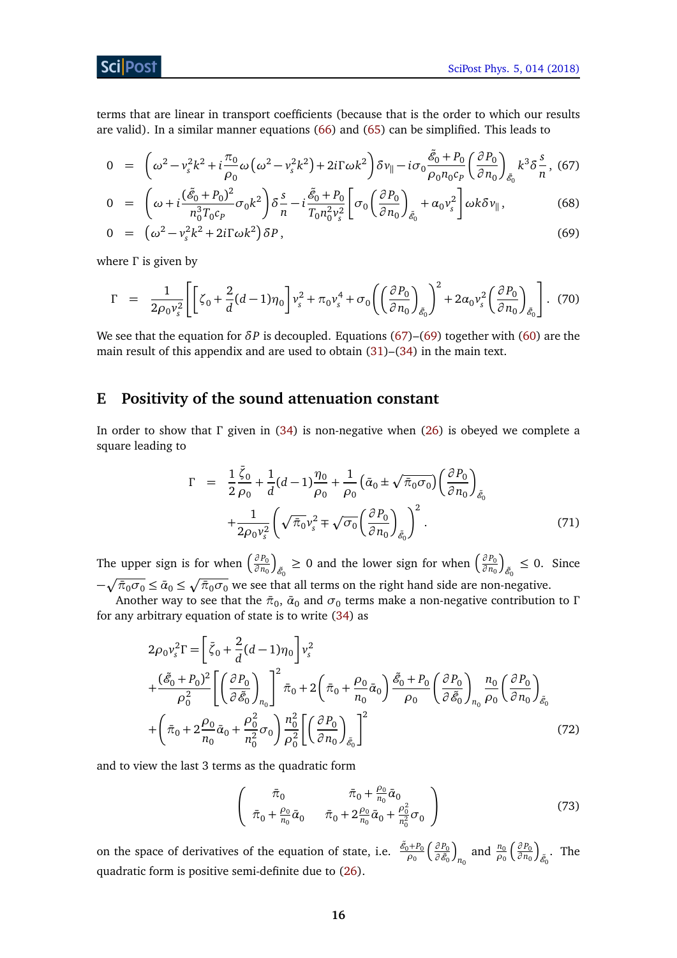

terms that are linear in transport coefficients (because that is the order to which our results are valid). In a similar manner equations [\(66\)](#page-15-4) and [\(65\)](#page-15-3) can be simplified. This leads to

<span id="page-16-1"></span>
$$
0 = \left(\omega^2 - v_s^2 k^2 + i\frac{\pi_0}{\rho_0}\omega\left(\omega^2 - v_s^2 k^2\right) + 2i\Gamma\omega k^2\right)\delta v_{\parallel} - i\sigma_0 \frac{\tilde{\mathscr{E}}_0 + P_0}{\rho_0 n_0 c_p} \left(\frac{\partial P_0}{\partial n_0}\right)_{\tilde{\mathscr{E}}_0} k^3 \delta \frac{s}{n}, \tag{67}
$$

$$
0 = \left(\omega + i\frac{(\tilde{\mathscr{E}}_0 + P_0)^2}{n_0^3 T_0 c_P} \sigma_0 k^2\right) \delta \frac{s}{n} - i\frac{\tilde{\mathscr{E}}_0 + P_0}{T_0 n_0^2 v_s^2} \left[\sigma_0 \left(\frac{\partial P_0}{\partial n_0}\right)_{\tilde{\mathscr{E}}_0} + \alpha_0 v_s^2\right] \omega k \delta v_{\parallel},\tag{68}
$$

$$
0 = \left(\omega^2 - v_s^2 k^2 + 2i\Gamma\omega k^2\right)\delta P\,,\tag{69}
$$

where *Γ* is given by

<span id="page-16-2"></span>
$$
\Gamma = \frac{1}{2\rho_0 v_s^2} \left[ \left[ \zeta_0 + \frac{2}{d} (d-1) \eta_0 \right] v_s^2 + \pi_0 v_s^4 + \sigma_0 \left( \left( \frac{\partial P_0}{\partial n_0} \right)_{\tilde{\mathcal{E}}_0} \right)^2 + 2 \alpha_0 v_s^2 \left( \frac{\partial P_0}{\partial n_0} \right)_{\tilde{\mathcal{E}}_0} \right].
$$
 (70)

We see that the equation for *δP* is decoupled. Equations [\(67\)](#page-16-1)–[\(69\)](#page-16-1) together with [\(60\)](#page-14-3) are the main result of this appendix and are used to obtain [\(31\)](#page-9-0)–[\(34\)](#page-9-1) in the main text.

# <span id="page-16-0"></span>**E Positivity of the sound attenuation constant**

In order to show that *Γ* given in [\(34\)](#page-9-1) is non-negative when [\(26\)](#page-7-3) is obeyed we complete a square leading to

$$
\Gamma = \frac{1}{2} \frac{\bar{\zeta}_0}{\rho_0} + \frac{1}{d} (d-1) \frac{\eta_0}{\rho_0} + \frac{1}{\rho_0} \left( \bar{\alpha}_0 \pm \sqrt{\bar{\pi}_0 \sigma_0} \right) \left( \frac{\partial P_0}{\partial n_0} \right)_{\tilde{\mathcal{E}}_0} + \frac{1}{2\rho_0 v_s^2} \left( \sqrt{\bar{\pi}_0} v_s^2 \mp \sqrt{\sigma_0} \left( \frac{\partial P_0}{\partial n_0} \right)_{\tilde{\mathcal{E}}_0} \right)^2.
$$
\n(71)

The upper sign is for when  $\left(\frac{\partial P_0}{\partial p_0}\right)$ *∂ n*<sup>0</sup> ſ  $\delta$ <sup> $\delta$ </sup><sup>0</sup> ≥ 0 and the lower sign for when  $\left(\frac{\partial P_0}{\partial n_0}\right)$ *∂ n*<sup>0</sup> ſ  $_{\tilde{e}_0} \leq 0$ . Since  $-\sqrt{\bar{\pi}_0\sigma_0}\leq \bar{\alpha}_0\leq \sqrt{\bar{\pi}_0\sigma_0}$  we see that all terms on the right hand side are non-negative.

Another way to see that the  $\bar{\pi}_0$ ,  $\bar{\alpha}_0$  and  $\sigma_0$  terms make a non-negative contribution to **Γ** for any arbitrary equation of state is to write [\(34\)](#page-9-1) as

$$
2\rho_0 v_s^2 \Gamma = \left[ \bar{\zeta}_0 + \frac{2}{d} (d - 1) \eta_0 \right] v_s^2 + \frac{(\tilde{\mathcal{E}}_0 + P_0)^2}{\rho_0^2} \left[ \left( \frac{\partial P_0}{\partial \tilde{\mathcal{E}}_0} \right)_{n_0} \right]^2 \bar{\pi}_0 + 2 \left( \bar{\pi}_0 + \frac{\rho_0}{n_0} \bar{\alpha}_0 \right) \frac{\tilde{\mathcal{E}}_0 + P_0}{\rho_0} \left( \frac{\partial P_0}{\partial \tilde{\mathcal{E}}_0} \right)_{n_0} \frac{n_0}{\rho_0} \left( \frac{\partial P_0}{\partial n_0} \right)_{\tilde{\mathcal{E}}_0} + \left( \bar{\pi}_0 + 2 \frac{\rho_0}{n_0} \bar{\alpha}_0 + \frac{\rho_0^2}{n_0^2} \sigma_0 \right) \frac{n_0^2}{\rho_0^2} \left[ \left( \frac{\partial P_0}{\partial n_0} \right)_{\tilde{\mathcal{E}}_0} \right]^2
$$
(72)

and to view the last 3 terms as the quadratic form

<span id="page-16-3"></span>
$$
\begin{pmatrix}\n\bar{\pi}_0 & \bar{\pi}_0 + \frac{\rho_0}{n_0} \bar{\alpha}_0 \\
\bar{\pi}_0 + \frac{\rho_0}{n_0} \bar{\alpha}_0 & \bar{\pi}_0 + 2 \frac{\rho_0}{n_0} \bar{\alpha}_0 + \frac{\rho_0^2}{n_0^2} \sigma_0\n\end{pmatrix}
$$
\n(73)

on the space of derivatives of the equation of state, i.e.  $\frac{\tilde{\mathscr{E}}_0 + P_0}{Q_0}$ *ρ*0 *∂ P*<sup>0</sup>  $\partial \tilde{\mathscr{E}}_0$ ſ  $n_0$  and  $\frac{n_0}{\rho_0}$  *∂ P*<sup>0</sup> *∂ n*<sup>0</sup> ſ  $_{\tilde{\mathscr{E}}_0}$ . The quadratic form is positive semi-definite due to [\(26\)](#page-7-3).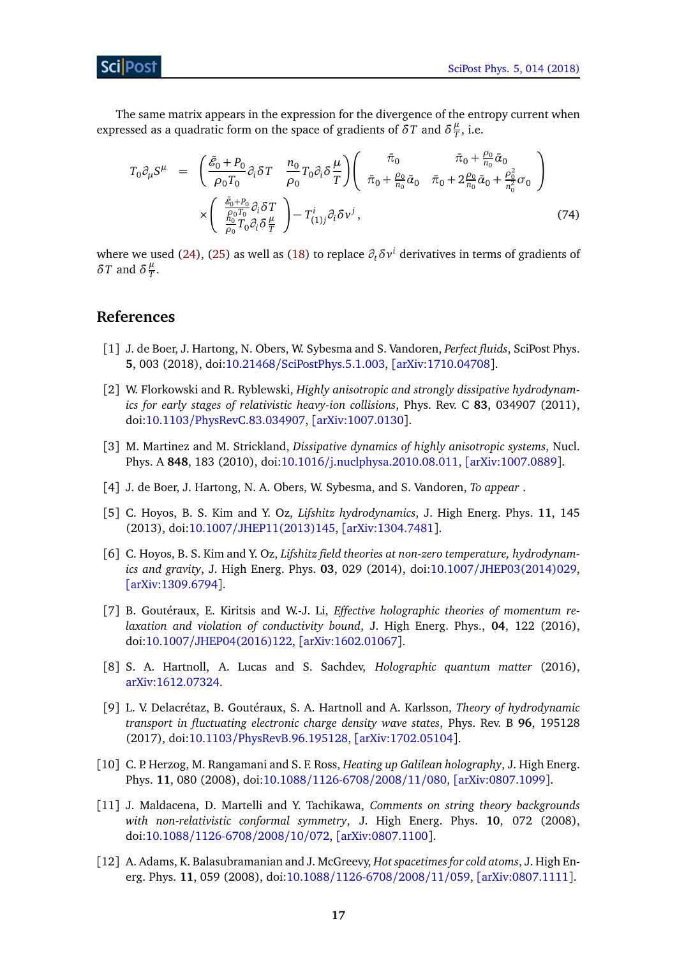The same matrix appears in the expression for the divergence of the entropy current when expressed as a quadratic form on the space of gradients of  $\delta T$  and  $\delta \frac{\mu}{T}$  $\frac{\mu}{T}$ , i.e.

<span id="page-17-0"></span>
$$
T_{0}\partial_{\mu}S^{\mu} = \begin{pmatrix} \frac{\tilde{\mathcal{E}}_{0} + P_{0}}{\rho_{0}T_{0}}\partial_{i}\delta T & \frac{n_{0}}{\rho_{0}}T_{0}\partial_{i}\delta \frac{\mu}{T} \end{pmatrix} \begin{pmatrix} \bar{\pi}_{0} & \bar{\pi}_{0} + \frac{\rho_{0}}{n_{0}}\bar{\alpha}_{0} \\ \bar{\pi}_{0} + \frac{\rho_{0}}{n_{0}}\bar{\alpha}_{0} & \bar{\pi}_{0} + 2\frac{\rho_{0}}{n_{0}}\bar{\alpha}_{0} + \frac{\rho_{0}^{2}}{n_{0}^{2}}\sigma_{0} \end{pmatrix}
$$

$$
\times \begin{pmatrix} \frac{\tilde{\mathcal{E}}_{0} + P_{0}}{\rho_{0}T_{0}}\partial_{i}\delta T \\ \frac{\rho_{0}}{\rho_{0}}T_{0}\partial_{i}\delta \frac{\mu}{T} \end{pmatrix} - T_{(1)j}^{i}\partial_{i}\delta v^{j}, \qquad (74)
$$

where we used [\(24\)](#page-7-2), [\(25\)](#page-7-1) as well as [\(18\)](#page-6-3) to replace *∂tδv <sup>i</sup>* derivatives in terms of gradients of *δ T* and *δ* $\frac{\mu}{T}$  $\frac{\mu}{T}$ .

# **References**

- <span id="page-17-1"></span>[1] J. de Boer, J. Hartong, N. Obers, W. Sybesma and S. Vandoren, *Perfect fluids*, SciPost Phys. **5**, 003 (2018), doi:10.21468/[SciPostPhys.5.1.003,](http://dx.doi.org/10.21468/SciPostPhys.5.1.003) [[arXiv:1710.04708](https://arxiv.org/abs/1710.04708)].
- <span id="page-17-3"></span>[2] W. Florkowski and R. Ryblewski, *Highly anisotropic and strongly dissipative hydrodynamics for early stages of relativistic heavy-ion collisions*, Phys. Rev. C **83**, 034907 (2011), doi:10.1103/[PhysRevC.83.034907,](http://dx.doi.org/10.1103/PhysRevC.83.034907) [[arXiv:1007.0130](https://arxiv.org/abs/1007.0130)].
- <span id="page-17-4"></span>[3] M. Martinez and M. Strickland, *Dissipative dynamics of highly anisotropic systems*, Nucl. Phys. A **848**, 183 (2010), doi:10.1016/[j.nuclphysa.2010.08.011,](http://dx.doi.org/10.1016/j.nuclphysa.2010.08.011) [[arXiv:1007.0889](https://arxiv.org/abs/1007.0889)].
- <span id="page-17-2"></span>[4] J. de Boer, J. Hartong, N. A. Obers, W. Sybesma, and S. Vandoren, *To appear* .
- <span id="page-17-5"></span>[5] C. Hoyos, B. S. Kim and Y. Oz, *Lifshitz hydrodynamics*, J. High Energ. Phys. **11**, 145 (2013), doi:10.1007/[JHEP11\(2013\)145,](http://dx.doi.org/10.1007/JHEP11(2013)145) [[arXiv:1304.7481](https://arxiv.org/abs/1304.7481)].
- <span id="page-17-6"></span>[6] C. Hoyos, B. S. Kim and Y. Oz, *Lifshitz field theories at non-zero temperature, hydrodynamics and gravity*, J. High Energ. Phys. **03**, 029 (2014), doi:10.1007/[JHEP03\(2014\)029,](http://dx.doi.org/10.1007/JHEP03(2014)029) [[arXiv:1309.6794](https://arxiv.org/abs/1309.6794)].
- <span id="page-17-7"></span>[7] B. Goutéraux, E. Kiritsis and W.-J. Li, *Effective holographic theories of momentum relaxation and violation of conductivity bound*, J. High Energ. Phys., **04**, 122 (2016), doi:10.1007/[JHEP04\(2016\)122,](http://dx.doi.org/10.1007/JHEP04(2016)122) [[arXiv:1602.01067](https://arxiv.org/abs/1602.01067)].
- [8] S. A. Hartnoll, A. Lucas and S. Sachdev, *Holographic quantum matter* (2016), [arXiv:1612.07324.](https://arxiv.org/abs/1612.07324)
- <span id="page-17-8"></span>[9] L. V. Delacrétaz, B. Goutéraux, S. A. Hartnoll and A. Karlsson, *Theory of hydrodynamic transport in fluctuating electronic charge density wave states*, Phys. Rev. B **96**, 195128 (2017), doi:10.1103/[PhysRevB.96.195128,](http://dx.doi.org/10.1103/PhysRevB.96.195128) [[arXiv:1702.05104](https://arxiv.org/abs/1702.05104)].
- <span id="page-17-9"></span>[10] C. P. Herzog, M. Rangamani and S. F. Ross, *Heating up Galilean holography*, J. High Energ. Phys. **11**, 080 (2008), doi:10.1088/[1126-6708](http://dx.doi.org/10.1088/1126-6708/2008/11/080)/2008/11/080, [[arXiv:0807.1099](https://arxiv.org/abs/0807.1099)].
- [11] J. Maldacena, D. Martelli and Y. Tachikawa, *Comments on string theory backgrounds with non-relativistic conformal symmetry*, J. High Energ. Phys. **10**, 072 (2008), doi:10.1088/[1126-6708](http://dx.doi.org/10.1088/1126-6708/2008/10/072)/2008/10/072, [[arXiv:0807.1100](https://arxiv.org/abs/0807.1100)].
- [12] A. Adams, K. Balasubramanian and J. McGreevy, *Hot spacetimes for cold atoms*, J. High Energ. Phys. **11**, 059 (2008), doi:10.1088/[1126-6708](http://dx.doi.org/10.1088/1126-6708/2008/11/059)/2008/11/059, [[arXiv:0807.1111](https://arxiv.org/abs/0807.1111)].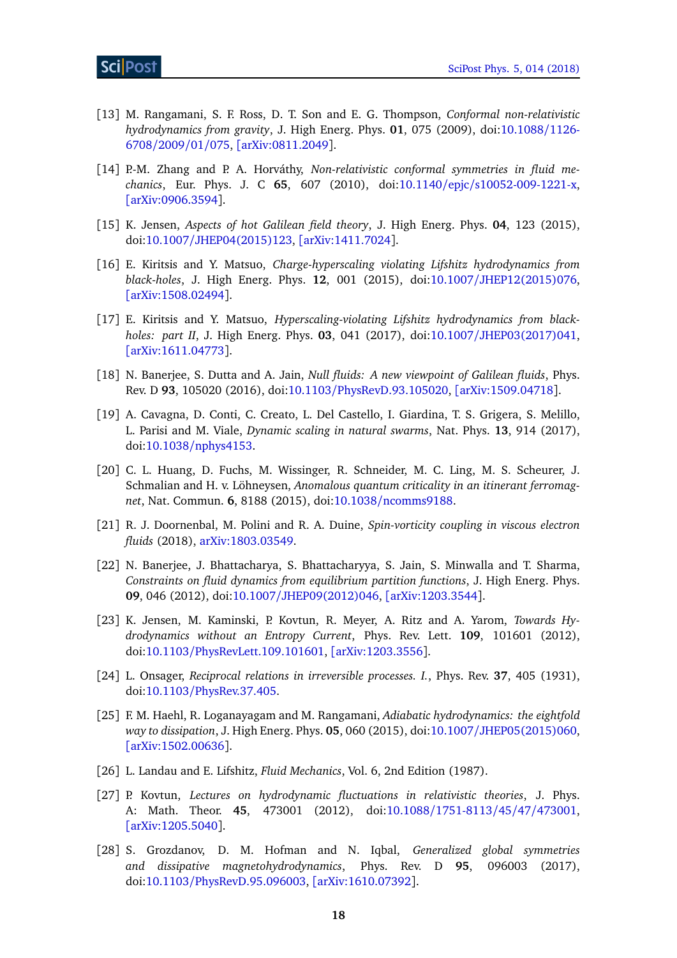- <span id="page-18-14"></span>[13] M. Rangamani, S. F. Ross, D. T. Son and E. G. Thompson, *Conformal non-relativistic hydrodynamics from gravity*, J. High Energ. Phys. **01**, 075 (2009), doi[:10.1088](http://dx.doi.org/10.1088/1126-6708/2009/01/075)/1126- [6708](http://dx.doi.org/10.1088/1126-6708/2009/01/075)/2009/01/075, [[arXiv:0811.2049](https://arxiv.org/abs/0811.2049)].
- [14] P.-M. Zhang and P. A. Horváthy, *Non-relativistic conformal symmetries in fluid mechanics*, Eur. Phys. J. C **65**, 607 (2010), doi:10.1140/epjc/[s10052-009-1221-x,](http://dx.doi.org/10.1140/epjc/s10052-009-1221-x) [[arXiv:0906.3594](https://arxiv.org/abs/0906.3594)].
- <span id="page-18-4"></span>[15] K. Jensen, *Aspects of hot Galilean field theory*, J. High Energ. Phys. **04**, 123 (2015), doi:10.1007/[JHEP04\(2015\)123,](http://dx.doi.org/10.1007/JHEP04(2015)123) [[arXiv:1411.7024](https://arxiv.org/abs/1411.7024)].
- <span id="page-18-12"></span>[16] E. Kiritsis and Y. Matsuo, *Charge-hyperscaling violating Lifshitz hydrodynamics from black-holes*, J. High Energ. Phys. **12**, 001 (2015), doi:10.1007/[JHEP12\(2015\)076,](http://dx.doi.org/10.1007/JHEP12(2015)076) [[arXiv:1508.02494](https://arxiv.org/abs/1508.02494)].
- <span id="page-18-13"></span>[17] E. Kiritsis and Y. Matsuo, *Hyperscaling-violating Lifshitz hydrodynamics from blackholes: part II*, J. High Energ. Phys. **03**, 041 (2017), doi:10.1007/[JHEP03\(2017\)041,](http://dx.doi.org/10.1007/JHEP03(2017)041) [[arXiv:1611.04773](https://arxiv.org/abs/1611.04773)].
- <span id="page-18-3"></span>[18] N. Banerjee, S. Dutta and A. Jain, *Null fluids: A new viewpoint of Galilean fluids*, Phys. Rev. D **93**, 105020 (2016), doi:10.1103/[PhysRevD.93.105020,](http://dx.doi.org/10.1103/PhysRevD.93.105020) [[arXiv:1509.04718](https://arxiv.org/abs/1509.04718)].
- <span id="page-18-0"></span>[19] A. Cavagna, D. Conti, C. Creato, L. Del Castello, I. Giardina, T. S. Grigera, S. Melillo, L. Parisi and M. Viale, *Dynamic scaling in natural swarms*, Nat. Phys. **13**, 914 (2017), doi:10.1038/[nphys4153.](http://dx.doi.org/10.1038/nphys4153)
- <span id="page-18-1"></span>[20] C. L. Huang, D. Fuchs, M. Wissinger, R. Schneider, M. C. Ling, M. S. Scheurer, J. Schmalian and H. v. Löhneysen, *Anomalous quantum criticality in an itinerant ferromagnet*, Nat. Commun. **6**, 8188 (2015), doi:10.1038/[ncomms9188.](http://dx.doi.org/10.1038/ncomms9188)
- <span id="page-18-2"></span>[21] R. J. Doornenbal, M. Polini and R. A. Duine, *Spin-vorticity coupling in viscous electron fluids* (2018), [arXiv:1803.03549.](https://arxiv.org/abs/1803.03549)
- <span id="page-18-5"></span>[22] N. Banerjee, J. Bhattacharya, S. Bhattacharyya, S. Jain, S. Minwalla and T. Sharma, *Constraints on fluid dynamics from equilibrium partition functions*, J. High Energ. Phys. **09**, 046 (2012), doi:10.1007/[JHEP09\(2012\)046,](http://dx.doi.org/10.1007/JHEP09(2012)046) [[arXiv:1203.3544](https://arxiv.org/abs/1203.3544)].
- <span id="page-18-6"></span>[23] K. Jensen, M. Kaminski, P. Kovtun, R. Meyer, A. Ritz and A. Yarom, *Towards Hydrodynamics without an Entropy Current*, Phys. Rev. Lett. **109**, 101601 (2012), doi:10.1103/[PhysRevLett.109.101601,](http://dx.doi.org/10.1103/PhysRevLett.109.101601) [[arXiv:1203.3556](https://arxiv.org/abs/1203.3556)].
- <span id="page-18-7"></span>[24] L. Onsager, *Reciprocal relations in irreversible processes. I.*, Phys. Rev. **37**, 405 (1931), doi:10.1103/[PhysRev.37.405.](http://dx.doi.org/10.1103/PhysRev.37.405)
- <span id="page-18-8"></span>[25] F. M. Haehl, R. Loganayagam and M. Rangamani, *Adiabatic hydrodynamics: the eightfold way to dissipation*, J. High Energ. Phys. **05**, 060 (2015), doi:10.1007/[JHEP05\(2015\)060,](http://dx.doi.org/10.1007/JHEP05(2015)060) [[arXiv:1502.00636](https://arxiv.org/abs/1502.00636)].
- <span id="page-18-9"></span>[26] L. Landau and E. Lifshitz, *Fluid Mechanics*, Vol. 6, 2nd Edition (1987).
- <span id="page-18-10"></span>[27] P. Kovtun, *Lectures on hydrodynamic fluctuations in relativistic theories*, J. Phys. A: Math. Theor. **45**, 473001 (2012), doi:10.1088/[1751-8113](http://dx.doi.org/10.1088/1751-8113/45/47/473001)/45/47/473001, [[arXiv:1205.5040](https://arxiv.org/abs/1205.5040)].
- <span id="page-18-11"></span>[28] S. Grozdanov, D. M. Hofman and N. Iqbal, *Generalized global symmetries and dissipative magnetohydrodynamics*, Phys. Rev. D **95**, 096003 (2017), doi:10.1103/[PhysRevD.95.096003,](http://dx.doi.org/10.1103/PhysRevD.95.096003) [[arXiv:1610.07392](https://arxiv.org/abs/1610.07392)].